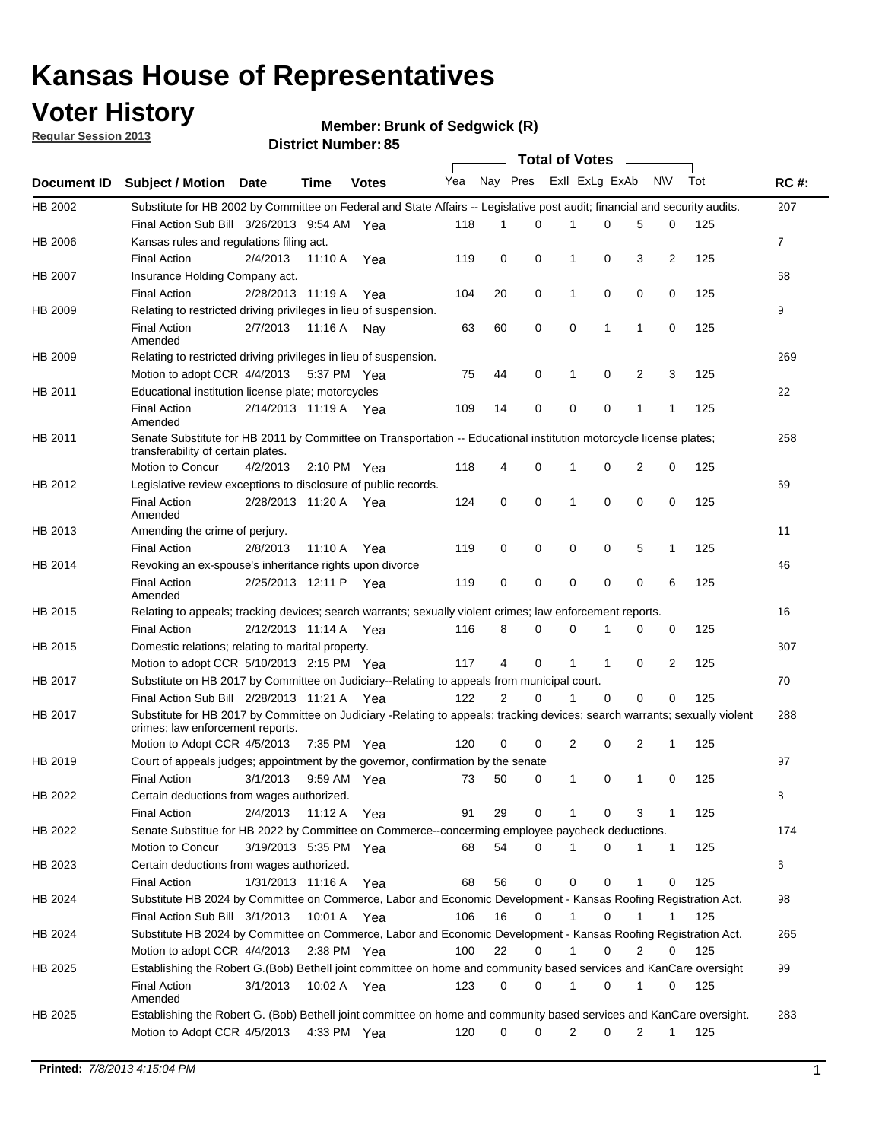## **Voter History**

**Member: Brunk of Sedgwick (R)** 

**Regular Session 2013**

| <b>Document ID</b><br>HB 2002<br>HB 2006<br>HB 2007<br>HB 2009<br>HB 2009 | <b>Subject / Motion Date</b><br>Substitute for HB 2002 by Committee on Federal and State Affairs -- Legislative post audit; financial and security audits.<br>Final Action Sub Bill 3/26/2013 9:54 AM Yea<br>Kansas rules and regulations filing act.<br><b>Final Action</b><br>Insurance Holding Company act.<br><b>Final Action</b><br>Relating to restricted driving privileges in lieu of suspension.<br><b>Final Action</b><br>Amended<br>Relating to restricted driving privileges in lieu of suspension. | 2/4/2013<br>2/28/2013 11:19 A<br>2/7/2013 | <b>Time</b><br>11:10 A | <b>Votes</b><br>Yea<br>Yea | Yea Nay Pres<br>118<br>119 | 1<br>0         | $\Omega$ | Exll ExLg ExAb | 0            | 5 | <b>NV</b><br>0 | Tot<br>125 | <b>RC#:</b><br>207 |
|---------------------------------------------------------------------------|-----------------------------------------------------------------------------------------------------------------------------------------------------------------------------------------------------------------------------------------------------------------------------------------------------------------------------------------------------------------------------------------------------------------------------------------------------------------------------------------------------------------|-------------------------------------------|------------------------|----------------------------|----------------------------|----------------|----------|----------------|--------------|---|----------------|------------|--------------------|
|                                                                           |                                                                                                                                                                                                                                                                                                                                                                                                                                                                                                                 |                                           |                        |                            |                            |                |          |                |              |   |                |            |                    |
|                                                                           |                                                                                                                                                                                                                                                                                                                                                                                                                                                                                                                 |                                           |                        |                            |                            |                |          |                |              |   |                |            |                    |
|                                                                           |                                                                                                                                                                                                                                                                                                                                                                                                                                                                                                                 |                                           |                        |                            |                            |                |          |                |              |   |                |            |                    |
|                                                                           |                                                                                                                                                                                                                                                                                                                                                                                                                                                                                                                 |                                           |                        |                            |                            |                |          |                |              |   |                |            | $\mathbf{7}$       |
|                                                                           |                                                                                                                                                                                                                                                                                                                                                                                                                                                                                                                 |                                           |                        |                            |                            |                | 0        | 1              | 0            | 3 | 2              | 125        |                    |
|                                                                           |                                                                                                                                                                                                                                                                                                                                                                                                                                                                                                                 |                                           |                        |                            |                            |                |          |                |              |   |                |            | 68                 |
|                                                                           |                                                                                                                                                                                                                                                                                                                                                                                                                                                                                                                 |                                           |                        |                            | 104                        | 20             | 0        | 1              | 0            | 0 | 0              | 125        |                    |
|                                                                           |                                                                                                                                                                                                                                                                                                                                                                                                                                                                                                                 |                                           |                        |                            |                            |                |          |                |              |   |                |            | 9                  |
|                                                                           |                                                                                                                                                                                                                                                                                                                                                                                                                                                                                                                 |                                           | 11:16 A Nay            |                            | 63                         | 60             | 0        | 0              | 1            | 1 | 0              | 125        |                    |
|                                                                           |                                                                                                                                                                                                                                                                                                                                                                                                                                                                                                                 |                                           |                        |                            |                            |                |          |                |              |   |                |            | 269                |
|                                                                           | Motion to adopt CCR 4/4/2013                                                                                                                                                                                                                                                                                                                                                                                                                                                                                    |                                           | 5:37 PM Yea            |                            | 75                         | 44             | 0        | 1              | 0            | 2 | 3              | 125        |                    |
| HB 2011                                                                   | Educational institution license plate; motorcycles                                                                                                                                                                                                                                                                                                                                                                                                                                                              |                                           |                        |                            |                            |                |          |                |              |   |                |            | 22                 |
|                                                                           | <b>Final Action</b><br>Amended                                                                                                                                                                                                                                                                                                                                                                                                                                                                                  | 2/14/2013 11:19 A Yea                     |                        |                            | 109                        | 14             | 0        | 0              | 0            | 1 | 1              | 125        |                    |
| HB 2011                                                                   | Senate Substitute for HB 2011 by Committee on Transportation -- Educational institution motorcycle license plates;                                                                                                                                                                                                                                                                                                                                                                                              |                                           |                        |                            |                            |                |          |                |              |   |                |            | 258                |
|                                                                           | transferability of certain plates.                                                                                                                                                                                                                                                                                                                                                                                                                                                                              |                                           |                        |                            |                            |                |          |                |              |   |                |            |                    |
|                                                                           | Motion to Concur                                                                                                                                                                                                                                                                                                                                                                                                                                                                                                | 4/2/2013                                  | 2:10 PM $Yea$          |                            | 118                        | 4              | 0        | 1              | 0            | 2 | 0              | 125        |                    |
| HB 2012                                                                   | Legislative review exceptions to disclosure of public records.                                                                                                                                                                                                                                                                                                                                                                                                                                                  |                                           |                        |                            |                            |                |          |                |              |   |                |            | 69                 |
|                                                                           | <b>Final Action</b><br>Amended                                                                                                                                                                                                                                                                                                                                                                                                                                                                                  | 2/28/2013 11:20 A Yea                     |                        |                            | 124                        | 0              | 0        | 1              | 0            | 0 | 0              | 125        |                    |
| HB 2013                                                                   | Amending the crime of perjury.                                                                                                                                                                                                                                                                                                                                                                                                                                                                                  |                                           |                        |                            |                            |                |          |                |              |   |                |            | 11                 |
|                                                                           | <b>Final Action</b>                                                                                                                                                                                                                                                                                                                                                                                                                                                                                             | 2/8/2013                                  | 11:10 A                | Yea                        | 119                        | 0              | 0        | 0              | 0            | 5 | 1              | 125        |                    |
| HB 2014                                                                   | Revoking an ex-spouse's inheritance rights upon divorce                                                                                                                                                                                                                                                                                                                                                                                                                                                         |                                           |                        |                            |                            |                |          |                |              |   |                |            | 46                 |
|                                                                           | <b>Final Action</b>                                                                                                                                                                                                                                                                                                                                                                                                                                                                                             | 2/25/2013 12:11 P Yea                     |                        |                            | 119                        | 0              | 0        | 0              | 0            | 0 | 6              | 125        |                    |
|                                                                           | Amended                                                                                                                                                                                                                                                                                                                                                                                                                                                                                                         |                                           |                        |                            |                            |                |          |                |              |   |                |            |                    |
| HB 2015                                                                   | Relating to appeals; tracking devices; search warrants; sexually violent crimes; law enforcement reports.                                                                                                                                                                                                                                                                                                                                                                                                       |                                           |                        |                            |                            |                |          |                |              |   |                |            | 16                 |
|                                                                           | <b>Final Action</b>                                                                                                                                                                                                                                                                                                                                                                                                                                                                                             | 2/12/2013 11:14 A                         |                        | Yea                        | 116                        | 8              | 0        | 0              | 1            | 0 | 0              | 125        |                    |
| HB 2015                                                                   | Domestic relations; relating to marital property.                                                                                                                                                                                                                                                                                                                                                                                                                                                               |                                           |                        |                            |                            |                |          |                |              |   |                |            | 307                |
|                                                                           | Motion to adopt CCR 5/10/2013 2:15 PM Yea                                                                                                                                                                                                                                                                                                                                                                                                                                                                       |                                           |                        |                            | 117                        | 4              | 0        | $\mathbf{1}$   | $\mathbf{1}$ | 0 | 2              | 125        |                    |
| HB 2017                                                                   | Substitute on HB 2017 by Committee on Judiciary--Relating to appeals from municipal court.                                                                                                                                                                                                                                                                                                                                                                                                                      |                                           |                        |                            |                            |                |          |                |              |   |                |            | 70                 |
|                                                                           | Final Action Sub Bill 2/28/2013 11:21 A Yea                                                                                                                                                                                                                                                                                                                                                                                                                                                                     |                                           |                        |                            | 122                        | $\overline{2}$ | 0        | 1              | 0            | 0 | 0              | 125        |                    |
| HB 2017                                                                   | Substitute for HB 2017 by Committee on Judiciary -Relating to appeals; tracking devices; search warrants; sexually violent<br>crimes; law enforcement reports.                                                                                                                                                                                                                                                                                                                                                  |                                           |                        |                            |                            |                |          |                |              |   |                |            | 288                |
|                                                                           | Motion to Adopt CCR 4/5/2013                                                                                                                                                                                                                                                                                                                                                                                                                                                                                    |                                           | 7:35 PM Yea            |                            | 120                        | 0              | 0        | 2              | 0            | 2 | 1              | 125        |                    |
| HB 2019                                                                   | Court of appeals judges; appointment by the governor, confirmation by the senate                                                                                                                                                                                                                                                                                                                                                                                                                                |                                           |                        |                            |                            |                |          |                |              |   |                |            | 97                 |
|                                                                           | <b>Final Action</b>                                                                                                                                                                                                                                                                                                                                                                                                                                                                                             | 3/1/2013                                  | 9:59 AM Yea            |                            | 73                         | 50             | 0        | 1              | 0            | 1 | 0              | 125        |                    |
| HB 2022                                                                   | Certain deductions from wages authorized.                                                                                                                                                                                                                                                                                                                                                                                                                                                                       |                                           |                        |                            |                            |                |          |                |              |   |                |            | 8                  |
|                                                                           | <b>Final Action</b>                                                                                                                                                                                                                                                                                                                                                                                                                                                                                             | 2/4/2013                                  | 11:12 A                | Yea                        | 91                         | 29             | 0        |                | 0            | 3 | 1              | 125        |                    |
| HB 2022                                                                   | Senate Substitue for HB 2022 by Committee on Commerce--concerming employee paycheck deductions.                                                                                                                                                                                                                                                                                                                                                                                                                 |                                           |                        |                            |                            |                |          |                |              |   |                |            | 174                |
|                                                                           | Motion to Concur                                                                                                                                                                                                                                                                                                                                                                                                                                                                                                | 3/19/2013 5:35 PM Yea                     |                        |                            | 68                         | 54             | 0        | 1              | 0            | 1 | $\mathbf{1}$   | 125        |                    |
| HB 2023                                                                   | Certain deductions from wages authorized.                                                                                                                                                                                                                                                                                                                                                                                                                                                                       |                                           |                        |                            |                            |                |          |                |              |   |                |            | 6                  |
|                                                                           | <b>Final Action</b>                                                                                                                                                                                                                                                                                                                                                                                                                                                                                             | 1/31/2013 11:16 A                         |                        | Yea                        | 68                         | 56             | 0        | 0              | 0            | 1 | 0              | 125        |                    |
| HB 2024                                                                   | Substitute HB 2024 by Committee on Commerce, Labor and Economic Development - Kansas Roofing Registration Act.                                                                                                                                                                                                                                                                                                                                                                                                  |                                           |                        |                            |                            |                |          |                |              |   |                |            | 98                 |
|                                                                           | Final Action Sub Bill 3/1/2013                                                                                                                                                                                                                                                                                                                                                                                                                                                                                  |                                           | 10:01 A Yea            |                            | 106                        | 16             | 0        | $\mathbf{1}$   | 0            | 1 | 1              | 125        |                    |
| HB 2024                                                                   | Substitute HB 2024 by Committee on Commerce, Labor and Economic Development - Kansas Roofing Registration Act.                                                                                                                                                                                                                                                                                                                                                                                                  |                                           |                        |                            |                            |                |          |                |              |   |                |            | 265                |
|                                                                           | Motion to adopt CCR 4/4/2013                                                                                                                                                                                                                                                                                                                                                                                                                                                                                    |                                           | 2:38 PM $Yea$          |                            | 100                        | 22             | 0        | $\mathbf{1}$   | 0            | 2 | 0              | 125        |                    |
| HB 2025                                                                   | Establishing the Robert G.(Bob) Bethell joint committee on home and community based services and KanCare oversight                                                                                                                                                                                                                                                                                                                                                                                              |                                           |                        |                            |                            |                |          |                |              |   |                |            | 99                 |
|                                                                           | <b>Final Action</b>                                                                                                                                                                                                                                                                                                                                                                                                                                                                                             | 3/1/2013                                  | 10:02 A Yea            |                            | 123                        | 0              | 0        | 1              | 0            | 1 | 0              | 125        |                    |
|                                                                           | Amended                                                                                                                                                                                                                                                                                                                                                                                                                                                                                                         |                                           |                        |                            |                            |                |          |                |              |   |                |            |                    |
| HB 2025                                                                   | Establishing the Robert G. (Bob) Bethell joint committee on home and community based services and KanCare oversight.                                                                                                                                                                                                                                                                                                                                                                                            |                                           |                        |                            |                            |                |          |                |              |   |                |            | 283                |
|                                                                           | Motion to Adopt CCR 4/5/2013                                                                                                                                                                                                                                                                                                                                                                                                                                                                                    |                                           | 4:33 PM Yea            |                            | 120                        | 0              | 0        | 2              | 0            | 2 | $\mathbf{1}$   | 125        |                    |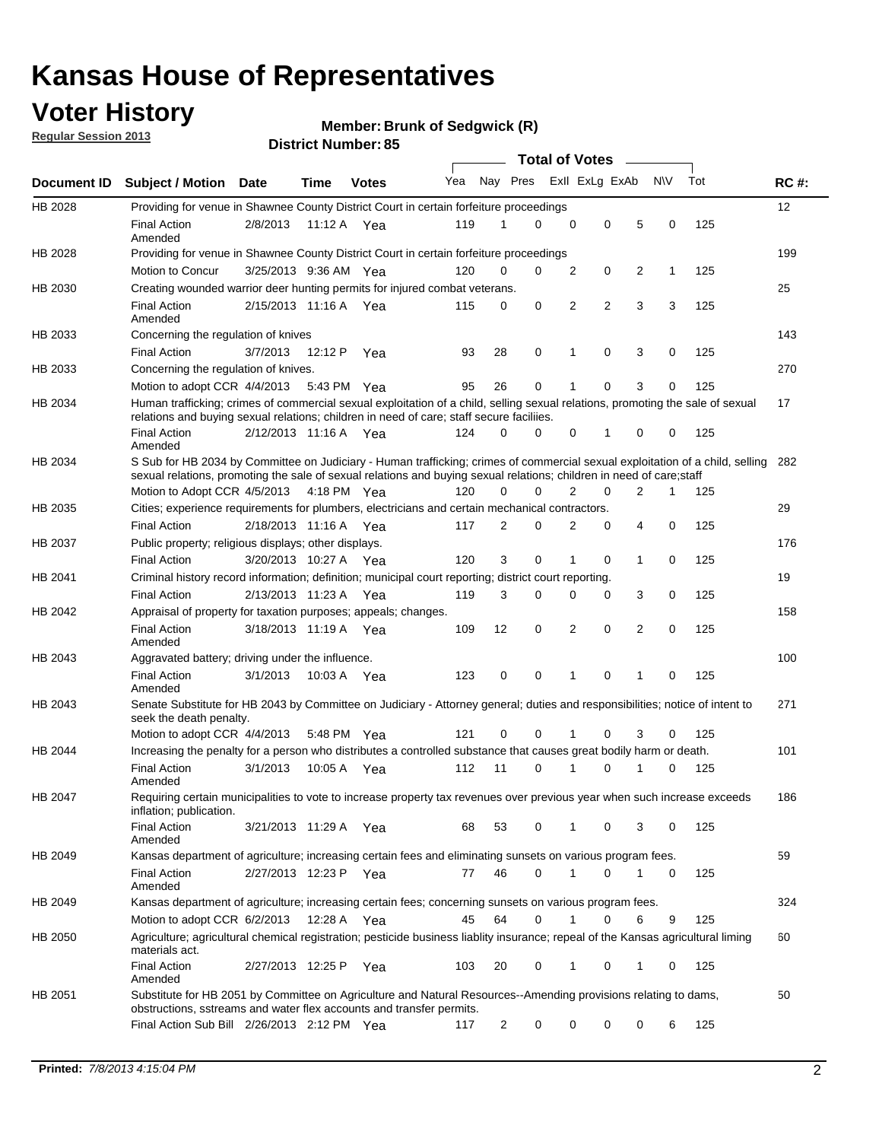## **Voter History**

**Member: Brunk of Sedgwick (R)** 

**Regular Session 2013**

|             |                                                                                                                                                                                                                                                       |                       |         |              |     |                | <b>Total of Votes</b> |             |                |                |           |     |             |
|-------------|-------------------------------------------------------------------------------------------------------------------------------------------------------------------------------------------------------------------------------------------------------|-----------------------|---------|--------------|-----|----------------|-----------------------|-------------|----------------|----------------|-----------|-----|-------------|
| Document ID | <b>Subject / Motion Date</b>                                                                                                                                                                                                                          |                       | Time    | <b>Votes</b> | Yea | Nay Pres       |                       |             | Exll ExLg ExAb |                | <b>NV</b> | Tot | <b>RC#:</b> |
| HB 2028     | Providing for venue in Shawnee County District Court in certain forfeiture proceedings                                                                                                                                                                |                       |         |              |     |                |                       |             |                |                |           |     | 12          |
|             | <b>Final Action</b><br>Amended                                                                                                                                                                                                                        | 2/8/2013              |         | 11:12 A Yea  | 119 | 1              | $\Omega$              | $\mathbf 0$ | 0              | 5              | 0         | 125 |             |
| HB 2028     | Providing for venue in Shawnee County District Court in certain forfeiture proceedings                                                                                                                                                                |                       |         |              |     |                |                       |             |                |                |           |     | 199         |
|             | Motion to Concur                                                                                                                                                                                                                                      | 3/25/2013 9:36 AM Yea |         |              | 120 | 0              | 0                     | 2           | 0              | 2              | 1         | 125 |             |
| HB 2030     | Creating wounded warrior deer hunting permits for injured combat veterans.                                                                                                                                                                            |                       |         |              |     |                |                       |             |                |                |           |     | 25          |
|             | <b>Final Action</b><br>Amended                                                                                                                                                                                                                        | 2/15/2013 11:16 A     |         | Yea          | 115 | 0              | 0                     | 2           | $\overline{2}$ | 3              | 3         | 125 |             |
| HB 2033     | Concerning the regulation of knives                                                                                                                                                                                                                   |                       |         |              |     |                |                       |             |                |                |           |     | 143         |
|             | <b>Final Action</b>                                                                                                                                                                                                                                   | 3/7/2013              | 12:12 P | Yea          | 93  | 28             | 0                     | 1           | 0              | 3              | 0         | 125 |             |
| HB 2033     | Concerning the regulation of knives.                                                                                                                                                                                                                  |                       |         |              |     |                |                       |             |                |                |           |     | 270         |
|             | Motion to adopt CCR 4/4/2013                                                                                                                                                                                                                          |                       |         | 5:43 PM Yea  | 95  | 26             | 0                     |             | 0              | 3              | 0         | 125 |             |
| HB 2034     | Human trafficking; crimes of commercial sexual exploitation of a child, selling sexual relations, promoting the sale of sexual<br>relations and buying sexual relations; children in need of care; staff secure faciliies.                            |                       |         |              |     |                |                       |             |                |                |           |     | 17          |
|             | <b>Final Action</b><br>Amended                                                                                                                                                                                                                        | 2/12/2013 11:16 A Yea |         |              | 124 | $\Omega$       | $\Omega$              | 0           | 1              | 0              | 0         | 125 |             |
| HB 2034     | S Sub for HB 2034 by Committee on Judiciary - Human trafficking; crimes of commercial sexual exploitation of a child, selling<br>sexual relations, promoting the sale of sexual relations and buying sexual relations; children in need of care;staff |                       |         |              |     |                |                       |             |                |                |           |     | 282         |
|             | Motion to Adopt CCR 4/5/2013 4:18 PM Yea                                                                                                                                                                                                              |                       |         |              | 120 | 0              | 0                     | 2           | 0              | $\overline{2}$ | 1         | 125 |             |
| HB 2035     | Cities; experience requirements for plumbers, electricians and certain mechanical contractors.                                                                                                                                                        |                       |         |              |     |                |                       |             |                |                |           |     | 29          |
|             | <b>Final Action</b>                                                                                                                                                                                                                                   | 2/18/2013 11:16 A     |         | Yea          | 117 | 2              | 0                     | 2           | 0              | 4              | 0         | 125 |             |
| HB 2037     | Public property; religious displays; other displays.                                                                                                                                                                                                  |                       |         |              |     |                |                       |             |                |                |           |     | 176         |
|             | <b>Final Action</b>                                                                                                                                                                                                                                   | 3/20/2013 10:27 A     |         | Yea          | 120 | 3              | 0                     | 1           | 0              | 1              | 0         | 125 |             |
| HB 2041     | Criminal history record information; definition; municipal court reporting; district court reporting.                                                                                                                                                 |                       |         |              |     |                |                       |             |                |                |           |     | 19          |
|             | <b>Final Action</b>                                                                                                                                                                                                                                   | 2/13/2013 11:23 A     |         | Yea          | 119 | 3              | 0                     | 0           | 0              | 3              | 0         | 125 |             |
| HB 2042     | Appraisal of property for taxation purposes; appeals; changes.                                                                                                                                                                                        |                       |         |              |     |                |                       |             |                |                |           |     | 158         |
|             | <b>Final Action</b><br>Amended                                                                                                                                                                                                                        | 3/18/2013 11:19 A     |         | Yea          | 109 | 12             | 0                     | 2           | 0              | 2              | 0         | 125 |             |
| HB 2043     | Aggravated battery; driving under the influence.                                                                                                                                                                                                      |                       |         |              |     |                |                       |             |                |                |           |     | 100         |
|             | <b>Final Action</b><br>Amended                                                                                                                                                                                                                        | 3/1/2013              |         | 10:03 A Yea  | 123 | 0              | 0                     |             | 0              | 1              | 0         | 125 |             |
| HB 2043     | Senate Substitute for HB 2043 by Committee on Judiciary - Attorney general; duties and responsibilities; notice of intent to<br>seek the death penalty.                                                                                               |                       |         |              |     |                |                       |             |                |                |           |     | 271         |
|             | Motion to adopt CCR 4/4/2013                                                                                                                                                                                                                          |                       |         | 5:48 PM Yea  | 121 | 0              | 0                     |             | 0              | 3              | 0         | 125 |             |
| HB 2044     | Increasing the penalty for a person who distributes a controlled substance that causes great bodily harm or death.                                                                                                                                    |                       |         |              |     |                |                       |             |                |                |           |     | 101         |
|             | <b>Final Action</b><br>Amended                                                                                                                                                                                                                        | 3/1/2013              | 10:05 A | Yea          | 112 | 11             | 0                     |             | 0              |                | 0         | 125 |             |
| HB 2047     | Requiring certain municipalities to vote to increase property tax revenues over previous year when such increase exceeds<br>inflation; publication.                                                                                                   |                       |         |              |     |                |                       |             |                |                |           |     | 186         |
|             | <b>Final Action</b><br>Amended                                                                                                                                                                                                                        | 3/21/2013 11:29 A Yea |         |              | 68  | 53             | 0                     |             | 0              | 3              | 0         | 125 |             |
| HB 2049     | Kansas department of agriculture; increasing certain fees and eliminating sunsets on various program fees.                                                                                                                                            |                       |         |              |     |                |                       |             |                |                |           |     | 59          |
|             | <b>Final Action</b><br>Amended                                                                                                                                                                                                                        | 2/27/2013 12:23 P Yea |         |              | 77  | 46             | 0                     | 1           | 0              | 1              | 0         | 125 |             |
| HB 2049     | Kansas department of agriculture; increasing certain fees; concerning sunsets on various program fees.                                                                                                                                                |                       |         |              |     |                |                       |             |                |                |           |     | 324         |
|             | Motion to adopt CCR 6/2/2013                                                                                                                                                                                                                          |                       | 12:28 A | Yea          | 45  | 64             | 0                     |             | 0              | 6              | 9         | 125 |             |
| HB 2050     | Agriculture; agricultural chemical registration; pesticide business liablity insurance; repeal of the Kansas agricultural liming<br>materials act.                                                                                                    |                       |         |              |     |                |                       |             |                |                |           |     | 60          |
|             | <b>Final Action</b><br>Amended                                                                                                                                                                                                                        | 2/27/2013 12:25 P     |         | Yea          | 103 | 20             | 0                     | 1           | 0              | 1              | 0         | 125 |             |
| HB 2051     | Substitute for HB 2051 by Committee on Agriculture and Natural Resources--Amending provisions relating to dams,<br>obstructions, sstreams and water flex accounts and transfer permits.                                                               |                       |         |              |     |                |                       |             |                |                |           |     | 50          |
|             | Final Action Sub Bill 2/26/2013 2:12 PM Yea                                                                                                                                                                                                           |                       |         |              | 117 | $\overline{c}$ | 0                     | 0           | 0              | 0              | 6         | 125 |             |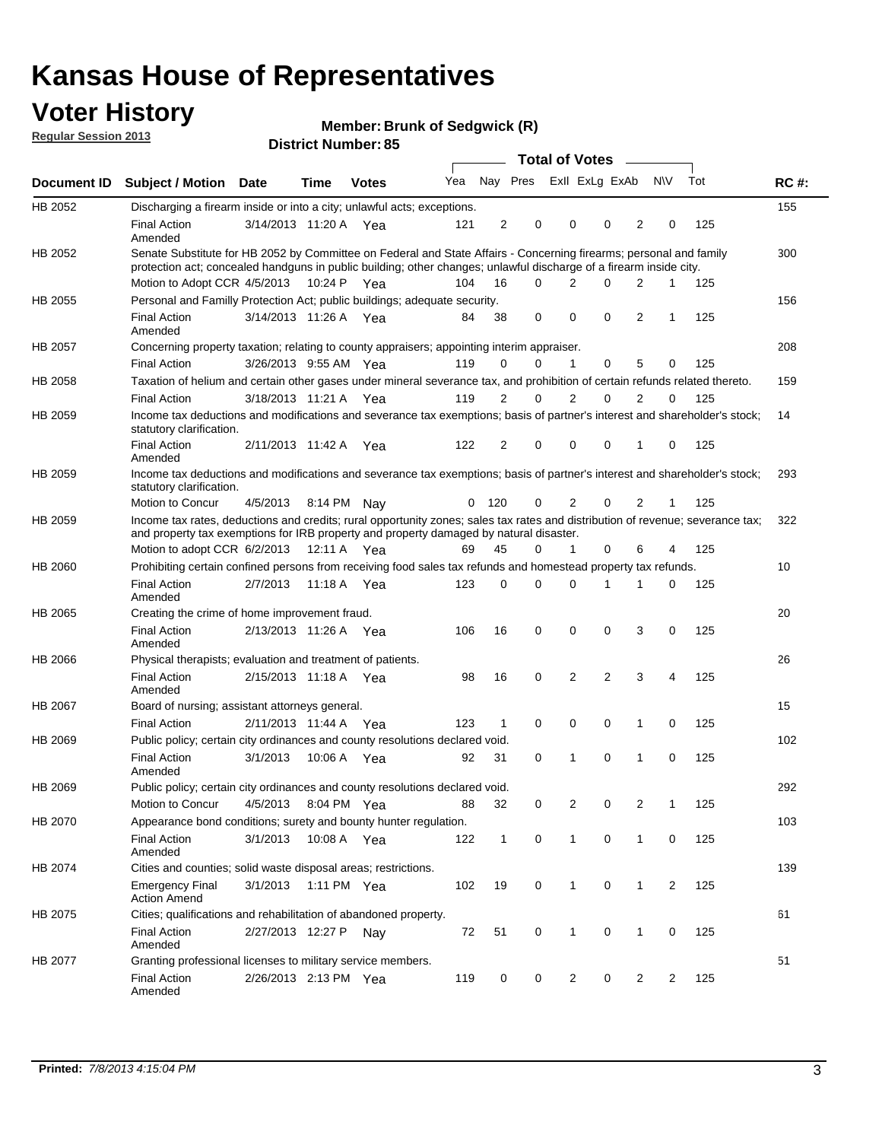## **Voter History**

**Member: Brunk of Sedgwick (R)** 

**Regular Session 2013**

|                |                                                                                                                                                                                                                                          |                       |         |              |     |              |                         | <b>Total of Votes</b> |                |             | $\overline{\phantom{0}}$ |              |     |             |
|----------------|------------------------------------------------------------------------------------------------------------------------------------------------------------------------------------------------------------------------------------------|-----------------------|---------|--------------|-----|--------------|-------------------------|-----------------------|----------------|-------------|--------------------------|--------------|-----|-------------|
| Document ID    | <b>Subject / Motion Date</b>                                                                                                                                                                                                             |                       | Time    | <b>Votes</b> | Yea |              | Nay Pres ExII ExLg ExAb |                       |                |             |                          | N\V          | Tot | <b>RC#:</b> |
| HB 2052        | Discharging a firearm inside or into a city; unlawful acts; exceptions.                                                                                                                                                                  |                       |         |              |     |              |                         |                       |                |             |                          |              |     | 155         |
|                | <b>Final Action</b><br>Amended                                                                                                                                                                                                           | 3/14/2013 11:20 A Yea |         |              | 121 | 2            | 0                       |                       | 0              | 0           | $\overline{2}$           | 0            | 125 |             |
| HB 2052        | Senate Substitute for HB 2052 by Committee on Federal and State Affairs - Concerning firearms; personal and family<br>protection act; concealed handguns in public building; other changes; unlawful discharge of a firearm inside city. |                       |         |              |     |              |                         |                       |                |             |                          |              |     | 300         |
|                | Motion to Adopt CCR 4/5/2013 10:24 P Yea                                                                                                                                                                                                 |                       |         |              | 104 | 16           | 0                       |                       | $\overline{2}$ | 0           | $\overline{2}$           | $\mathbf{1}$ | 125 |             |
| <b>HB 2055</b> | Personal and Familly Protection Act; public buildings; adequate security.                                                                                                                                                                |                       |         |              |     |              |                         |                       |                |             |                          |              |     | 156         |
|                | <b>Final Action</b><br>Amended                                                                                                                                                                                                           | 3/14/2013 11:26 A     |         | Yea          | 84  | 38           | 0                       |                       | 0              | $\mathbf 0$ | $\overline{2}$           | $\mathbf{1}$ | 125 |             |
| HB 2057        | Concerning property taxation; relating to county appraisers; appointing interim appraiser.                                                                                                                                               |                       |         |              |     |              |                         |                       |                |             |                          |              |     | 208         |
|                | <b>Final Action</b>                                                                                                                                                                                                                      | 3/26/2013 9:55 AM Yea |         |              | 119 | 0            | 0                       |                       | $\mathbf{1}$   | $\mathbf 0$ | 5                        | 0            | 125 |             |
| HB 2058        | Taxation of helium and certain other gases under mineral severance tax, and prohibition of certain refunds related thereto.                                                                                                              |                       |         |              |     |              |                         |                       |                |             |                          |              |     | 159         |
|                | <b>Final Action</b>                                                                                                                                                                                                                      | 3/18/2013 11:21 A Yea |         |              | 119 | 2            | 0                       |                       | 2              | $\Omega$    | 2                        | 0            | 125 |             |
| HB 2059        | Income tax deductions and modifications and severance tax exemptions; basis of partner's interest and shareholder's stock;<br>statutory clarification.                                                                                   |                       |         |              |     |              |                         |                       |                |             |                          |              |     | 14          |
|                | <b>Final Action</b><br>Amended                                                                                                                                                                                                           | 2/11/2013 11:42 A Yea |         |              | 122 | 2            | 0                       |                       | 0              | 0           | 1                        | 0            | 125 |             |
| HB 2059        | Income tax deductions and modifications and severance tax exemptions; basis of partner's interest and shareholder's stock;<br>statutory clarification.                                                                                   |                       |         |              |     |              |                         |                       |                |             |                          |              |     | 293         |
|                | Motion to Concur                                                                                                                                                                                                                         | 4/5/2013              |         | 8:14 PM Nav  | 0   | 120          | 0                       |                       | $\overline{2}$ | 0           | $\overline{2}$           | 1            | 125 |             |
| HB 2059        | Income tax rates, deductions and credits; rural opportunity zones; sales tax rates and distribution of revenue; severance tax;<br>and property tax exemptions for IRB property and property damaged by natural disaster.                 |                       |         |              |     |              |                         |                       |                |             |                          |              |     | 322         |
|                | Motion to adopt CCR 6/2/2013                                                                                                                                                                                                             |                       |         | 12:11 A Yea  | 69  | 45           | 0                       |                       | 1              | 0           | 6                        | 4            | 125 |             |
| HB 2060        | Prohibiting certain confined persons from receiving food sales tax refunds and homestead property tax refunds.                                                                                                                           |                       |         |              |     |              |                         |                       |                |             |                          |              |     | 10          |
|                | <b>Final Action</b><br>Amended                                                                                                                                                                                                           | 2/7/2013              | 11:18 A | Yea          | 123 | 0            | 0                       |                       | $\Omega$       | 1           | 1                        | 0            | 125 |             |
| HB 2065        | Creating the crime of home improvement fraud.                                                                                                                                                                                            |                       |         |              |     |              |                         |                       |                |             |                          |              |     | 20          |
|                | <b>Final Action</b><br>Amended                                                                                                                                                                                                           | 2/13/2013 11:26 A Yea |         |              | 106 | 16           | 0                       |                       | 0              | 0           | 3                        | 0            | 125 |             |
| HB 2066        | Physical therapists; evaluation and treatment of patients.                                                                                                                                                                               |                       |         |              |     |              |                         |                       |                |             |                          |              |     | 26          |
|                | <b>Final Action</b><br>Amended                                                                                                                                                                                                           | 2/15/2013 11:18 A Yea |         |              | 98  | 16           | 0                       |                       | $\overline{2}$ | 2           | 3                        | 4            | 125 |             |
| HB 2067        | Board of nursing; assistant attorneys general.                                                                                                                                                                                           |                       |         |              |     |              |                         |                       |                |             |                          |              |     | 15          |
|                | <b>Final Action</b>                                                                                                                                                                                                                      | 2/11/2013 11:44 A Yea |         |              | 123 | $\mathbf{1}$ | 0                       |                       | 0              | 0           | 1                        | 0            | 125 |             |
| HB 2069        | Public policy; certain city ordinances and county resolutions declared void.                                                                                                                                                             |                       |         |              |     |              |                         |                       |                |             |                          |              |     | 102         |
|                | <b>Final Action</b><br>Amended                                                                                                                                                                                                           | 3/1/2013              | 10:06 A | Yea          | 92  | 31           | 0                       |                       |                | 0           | 1                        | 0            | 125 |             |
| HB 2069        | Public policy; certain city ordinances and county resolutions declared void.                                                                                                                                                             |                       |         |              |     |              |                         |                       |                |             |                          |              |     | 292         |
|                | Motion to Concur                                                                                                                                                                                                                         | 4/5/2013              |         | 8:04 PM Yea  | 88  | 32           | 0                       |                       | 2              | 0           | 2                        | 1            | 125 |             |
| HB 2070        | Appearance bond conditions; surety and bounty hunter regulation.                                                                                                                                                                         |                       |         |              |     |              |                         |                       |                |             |                          |              |     | 103         |
|                | <b>Final Action</b><br>Amended                                                                                                                                                                                                           | 3/1/2013              |         | 10:08 A Yea  | 122 | $\mathbf{1}$ | 0                       |                       | 1              | 0           | $\mathbf{1}$             | 0            | 125 |             |
| HB 2074        | Cities and counties; solid waste disposal areas; restrictions.                                                                                                                                                                           |                       |         |              |     |              |                         |                       |                |             |                          |              |     | 139         |
|                | <b>Emergency Final</b><br><b>Action Amend</b>                                                                                                                                                                                            | 3/1/2013              |         | 1:11 PM Yea  | 102 | 19           | 0                       |                       | 1              | 0           | 1                        | 2            | 125 |             |
| HB 2075        | Cities; qualifications and rehabilitation of abandoned property.                                                                                                                                                                         |                       |         |              |     |              |                         |                       |                |             |                          |              |     | 61          |
|                | <b>Final Action</b><br>Amended                                                                                                                                                                                                           | 2/27/2013 12:27 P     |         | Nav          | 72  | 51           | 0                       |                       | 1              | 0           | 1                        | 0            | 125 |             |
| HB 2077        | Granting professional licenses to military service members.<br><b>Final Action</b><br>Amended                                                                                                                                            | 2/26/2013 2:13 PM Yea |         |              | 119 | 0            | 0                       |                       | $\overline{c}$ | 0           | $\overline{2}$           | 2            | 125 | 51          |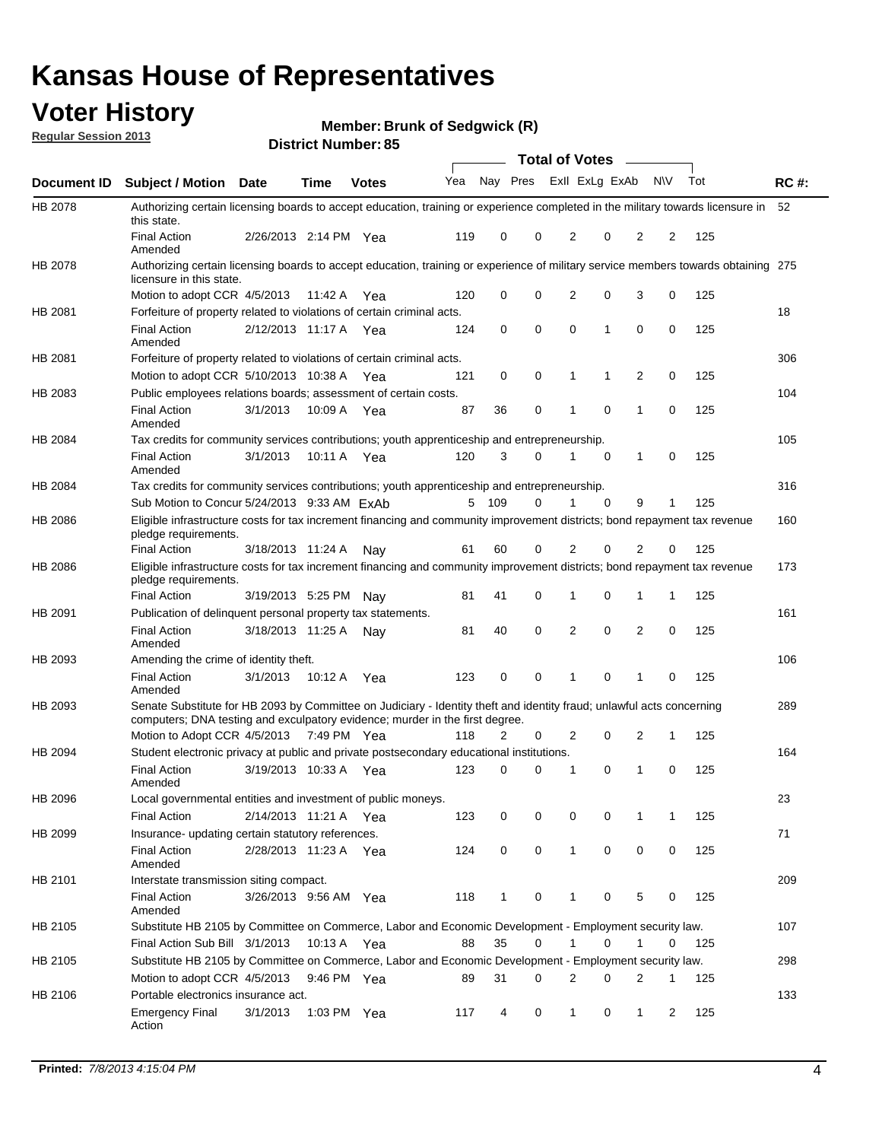## **Voter History**

**Member: Brunk of Sedgwick (R)** 

**Regular Session 2013**

|             |                                                                                                                                                                                                       |                       |             | טט הסעוווטנו ועוווטכו |     |              |             | <b>Total of Votes</b> |          | $\sim$         |           |     |             |
|-------------|-------------------------------------------------------------------------------------------------------------------------------------------------------------------------------------------------------|-----------------------|-------------|-----------------------|-----|--------------|-------------|-----------------------|----------|----------------|-----------|-----|-------------|
| Document ID | <b>Subject / Motion Date</b>                                                                                                                                                                          |                       | <b>Time</b> | <b>Votes</b>          | Yea | Nay Pres     |             | Exll ExLg ExAb        |          |                | <b>NV</b> | Tot | <b>RC#:</b> |
| HB 2078     | Authorizing certain licensing boards to accept education, training or experience completed in the military towards licensure in<br>this state.                                                        |                       |             |                       |     |              |             |                       |          |                |           |     | 52          |
|             | <b>Final Action</b><br>Amended                                                                                                                                                                        | 2/26/2013 2:14 PM Yea |             |                       | 119 | 0            | 0           | 2                     | 0        | 2              | 2         | 125 |             |
| HB 2078     | Authorizing certain licensing boards to accept education, training or experience of military service members towards obtaining 275<br>licensure in this state.                                        |                       |             |                       |     |              |             |                       |          |                |           |     |             |
|             | Motion to adopt CCR 4/5/2013                                                                                                                                                                          |                       | 11:42 A     | Yea                   | 120 | 0            | $\mathbf 0$ | $\overline{2}$        | 0        | 3              | 0         | 125 |             |
| HB 2081     | Forfeiture of property related to violations of certain criminal acts.                                                                                                                                |                       |             |                       |     |              |             |                       |          |                |           |     | 18          |
|             | <b>Final Action</b><br>Amended                                                                                                                                                                        | 2/12/2013 11:17 A Yea |             |                       | 124 | 0            | 0           | $\Omega$              | 1        | 0              | 0         | 125 |             |
| HB 2081     | Forfeiture of property related to violations of certain criminal acts.                                                                                                                                |                       |             |                       |     |              |             |                       |          |                |           |     | 306         |
|             | Motion to adopt CCR 5/10/2013 10:38 A                                                                                                                                                                 |                       |             | Yea                   | 121 | 0            | 0           | 1                     | 1        | 2              | 0         | 125 |             |
| HB 2083     | Public employees relations boards; assessment of certain costs.                                                                                                                                       |                       |             |                       |     |              |             |                       |          |                |           |     | 104         |
|             | <b>Final Action</b><br>Amended                                                                                                                                                                        | 3/1/2013              | 10:09 A     | Yea                   | 87  | 36           | 0           | 1                     | 0        | 1              | 0         | 125 |             |
| HB 2084     | Tax credits for community services contributions; youth apprenticeship and entrepreneurship.                                                                                                          |                       |             |                       |     |              |             |                       |          |                |           |     | 105         |
|             | <b>Final Action</b><br>Amended                                                                                                                                                                        | 3/1/2013              | 10:11 A     | Yea                   | 120 | 3            | 0           |                       | 0        | $\mathbf{1}$   | 0         | 125 |             |
| HB 2084     | Tax credits for community services contributions; youth apprenticeship and entrepreneurship.                                                                                                          |                       |             |                       |     |              |             |                       |          |                |           |     | 316         |
|             | Sub Motion to Concur 5/24/2013 9:33 AM ExAb                                                                                                                                                           |                       |             |                       | 5   | - 109        | $\Omega$    | 1                     | $\Omega$ | 9              | 1         | 125 |             |
| HB 2086     | Eligible infrastructure costs for tax increment financing and community improvement districts; bond repayment tax revenue<br>pledge requirements.                                                     |                       |             |                       |     |              |             |                       |          |                |           |     | 160         |
|             | <b>Final Action</b>                                                                                                                                                                                   | 3/18/2013 11:24 A     |             | Nay                   | 61  | 60           | 0           | 2                     | 0        | 2              | 0         | 125 |             |
| HB 2086     | Eligible infrastructure costs for tax increment financing and community improvement districts; bond repayment tax revenue<br>pledge requirements.                                                     |                       |             |                       |     |              |             |                       |          |                |           |     | 173         |
|             | <b>Final Action</b>                                                                                                                                                                                   | 3/19/2013 5:25 PM     |             | Nay                   | 81  | 41           | 0           | 1                     | 0        | 1              | 1         | 125 |             |
| HB 2091     | Publication of delinquent personal property tax statements.                                                                                                                                           |                       |             |                       |     |              |             |                       |          |                |           |     | 161         |
|             | <b>Final Action</b><br>Amended                                                                                                                                                                        | 3/18/2013 11:25 A     |             | Nav                   | 81  | 40           | 0           | 2                     | 0        | $\overline{2}$ | 0         | 125 |             |
| HB 2093     | Amending the crime of identity theft.                                                                                                                                                                 |                       |             |                       |     |              |             |                       |          |                |           |     | 106         |
|             | <b>Final Action</b><br>Amended                                                                                                                                                                        | 3/1/2013              | 10:12 A     | Yea                   | 123 | 0            | $\Omega$    | 1                     | 0        | 1              | 0         | 125 |             |
| HB 2093     | Senate Substitute for HB 2093 by Committee on Judiciary - Identity theft and identity fraud; unlawful acts concerning<br>computers; DNA testing and exculpatory evidence; murder in the first degree. |                       |             |                       |     |              |             |                       |          |                |           |     | 289         |
|             | Motion to Adopt CCR 4/5/2013 7:49 PM Yea                                                                                                                                                              |                       |             |                       | 118 | 2            | 0           | 2                     | 0        | 2              | 1         | 125 |             |
| HB 2094     | Student electronic privacy at public and private postsecondary educational institutions.                                                                                                              |                       |             |                       |     |              |             |                       |          |                |           |     | 164         |
|             | <b>Final Action</b><br>Amended                                                                                                                                                                        | 3/19/2013 10:33 A     |             | Yea                   | 123 | 0            | 0           | 1                     | 0        | 1              | 0         | 125 |             |
| HB 2096     | Local governmental entities and investment of public moneys.                                                                                                                                          |                       |             |                       |     |              |             |                       |          |                |           |     | 23          |
|             | <b>Final Action</b>                                                                                                                                                                                   | 2/14/2013 11:21 A     |             | Yea                   | 123 | 0            | 0           | 0                     | 0        | 1              | 1         | 125 |             |
| HB 2099     | Insurance- updating certain statutory references.                                                                                                                                                     |                       |             |                       |     |              |             |                       |          |                |           |     | 71          |
|             | <b>Final Action</b><br>Amended                                                                                                                                                                        | 2/28/2013 11:23 A     |             | Yea                   | 124 | 0            | 0           | 1                     | 0        | 0              | 0         | 125 |             |
| HB 2101     | Interstate transmission siting compact.                                                                                                                                                               |                       |             |                       |     |              |             |                       |          |                |           |     | 209         |
|             | <b>Final Action</b><br>Amended                                                                                                                                                                        | 3/26/2013 9:56 AM Yea |             |                       | 118 | $\mathbf{1}$ | 0           | 1                     | 0        | 5              | 0         | 125 |             |
| HB 2105     | Substitute HB 2105 by Committee on Commerce, Labor and Economic Development - Employment security law.                                                                                                |                       |             |                       |     |              |             |                       |          |                |           |     | 107         |
|             | Final Action Sub Bill 3/1/2013                                                                                                                                                                        |                       | 10:13 A Yea |                       | 88  | 35           | 0           |                       | 0        | 1              | 0         | 125 |             |
| HB 2105     | Substitute HB 2105 by Committee on Commerce, Labor and Economic Development - Employment security law.                                                                                                |                       |             |                       |     |              |             |                       |          |                |           |     | 298         |
|             | Motion to adopt CCR 4/5/2013                                                                                                                                                                          |                       | 9:46 PM Yea |                       | 89  | 31           | 0           | 2                     | 0        | 2              | 1         | 125 |             |
| HB 2106     | Portable electronics insurance act.                                                                                                                                                                   |                       |             |                       |     |              |             |                       |          |                |           |     | 133         |
|             | <b>Emergency Final</b><br>Action                                                                                                                                                                      | 3/1/2013              | 1:03 PM Yea |                       | 117 | 4            | 0           | $\mathbf{1}$          | 0        | $\mathbf{1}$   | 2         | 125 |             |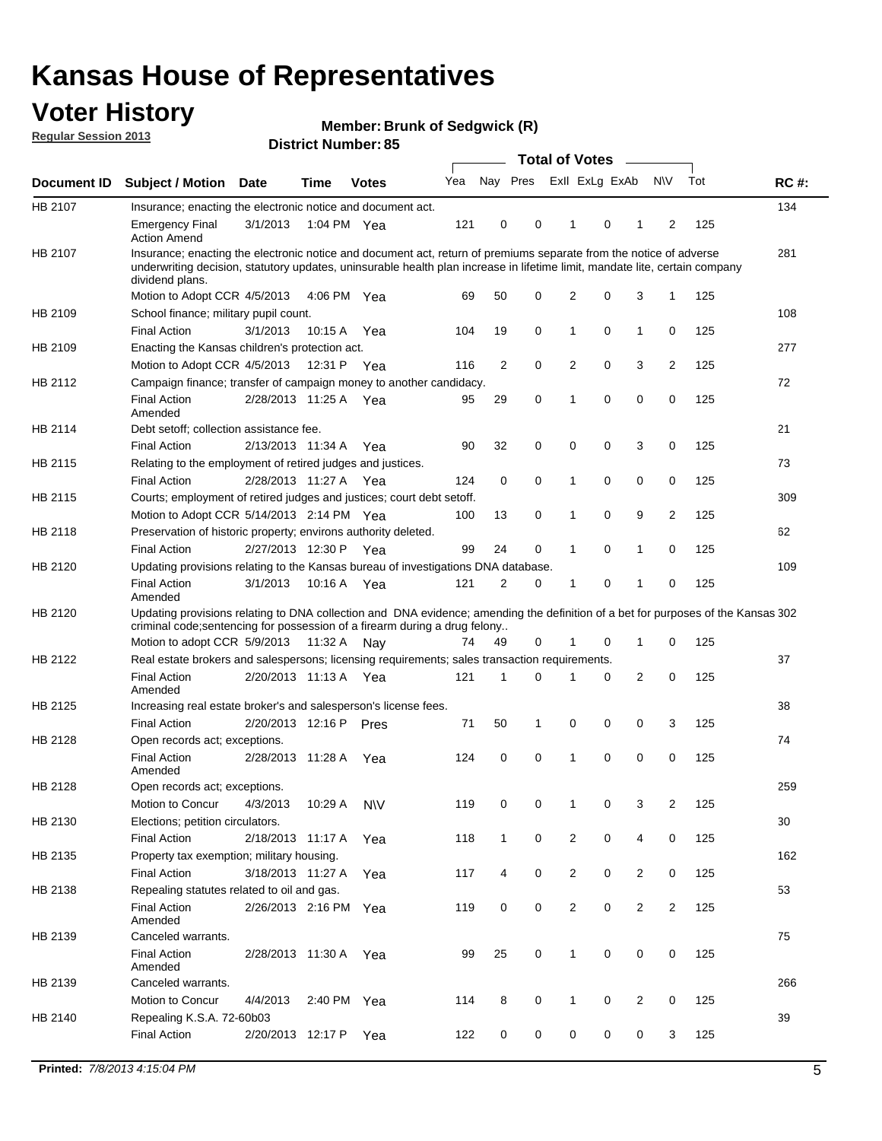## **Voter History**

**Member: Brunk of Sedgwick (R)** 

**Regular Session 2013**

| Nay Pres Exll ExLg ExAb<br><b>NV</b><br>Tot<br>Yea<br><b>RC#:</b><br><b>Subject / Motion</b><br><b>Time</b><br><b>Date</b><br><b>Votes</b><br>134<br>Insurance; enacting the electronic notice and document act.<br>3/1/2013<br>121<br>0<br>0<br>0<br>125<br><b>Emergency Final</b><br>1:04 PM Yea<br>1<br>1<br>2<br><b>Action Amend</b><br>281<br>Insurance; enacting the electronic notice and document act, return of premiums separate from the notice of adverse<br>underwriting decision, statutory updates, uninsurable health plan increase in lifetime limit, mandate lite, certain company<br>dividend plans.<br>2<br>3<br>Motion to Adopt CCR 4/5/2013<br>50<br>0<br>0<br>1<br>125<br>4:06 PM Yea<br>69<br>108<br>School finance; military pupil count.<br>0<br><b>Final Action</b><br>19<br>0<br>$\mathbf{1}$<br>0<br>125<br>3/1/2013<br>10:15 A<br>104<br>1<br>Yea<br>Enacting the Kansas children's protection act.<br>277<br>Motion to Adopt CCR 4/5/2013<br>2<br>0<br>2<br>0<br>3<br>2<br>125<br>12:31 P Yea<br>116<br>Campaign finance; transfer of campaign money to another candidacy.<br>72<br>0<br>0<br>125<br>2/28/2013 11:25 A Yea<br>29<br>0<br>0<br><b>Final Action</b><br>95<br>1<br>Amended<br>21<br>Debt setoff; collection assistance fee.<br><b>Final Action</b><br>2/13/2013 11:34 A<br>32<br>0<br>0<br>3<br>0<br>125<br>90<br>0<br>Yea<br>Relating to the employment of retired judges and justices.<br>73<br>0<br>0<br>0<br><b>Final Action</b><br>0<br>0<br>125<br>2/28/2013 11:27 A<br>124<br>1<br>Yea<br>Courts; employment of retired judges and justices; court debt setoff.<br>309<br>$\overline{2}$<br>Motion to Adopt CCR 5/14/2013 2:14 PM Yea<br>13<br>0<br>0<br>9<br>125<br>100<br>1<br>Preservation of historic property; environs authority deleted.<br>62<br>0<br>0<br>0<br><b>Final Action</b><br>2/27/2013 12:30 P<br>99<br>24<br>1<br>125<br>Yea<br>1<br>Updating provisions relating to the Kansas bureau of investigations DNA database.<br>109<br><b>Final Action</b><br>3/1/2013<br>10:16 A<br>121<br>2<br>0<br>0<br>0<br>125<br>1<br>Yea<br>1<br>Amended<br>Updating provisions relating to DNA collection and DNA evidence; amending the definition of a bet for purposes of the Kansas 302<br>criminal code; sentencing for possession of a firearm during a drug felony<br>Motion to adopt CCR 5/9/2013 11:32 A Nay<br>0<br>0<br>125<br>49<br>0<br>1<br>74<br>1<br>Real estate brokers and salespersons; licensing requirements; sales transaction requirements.<br>37<br>HB 2122<br>2/20/2013 11:13 A Yea<br>121<br>2<br>0<br>125<br><b>Final Action</b><br>1<br>0<br>0<br>Amended<br>HB 2125<br>38<br>Increasing real estate broker's and salesperson's license fees.<br><b>Final Action</b><br>2/20/2013 12:16 P<br>71<br>50<br>0<br>0<br>0<br>3<br>125<br>Pres<br>1<br>HB 2128<br>74<br>Open records act; exceptions.<br><b>Final Action</b><br>2/28/2013 11:28 A<br>0<br>0<br>0<br>0<br>0<br>125<br>124<br>1<br>Yea<br>Amended<br>259<br>Open records act; exceptions.<br>0<br>0<br>3<br>$\overline{2}$<br>125<br>Motion to Concur<br>4/3/2013<br>10:29 A<br>119<br>0<br><b>NV</b><br>1<br>30<br>HB 2130<br>Elections; petition circulators.<br>0<br>2<br>0<br>0<br>125<br><b>Final Action</b><br>2/18/2013 11:17 A<br>118<br>$\mathbf{1}$<br>4<br>Yea<br>Property tax exemption; military housing.<br>162<br>HB 2135<br>0<br>$\overline{2}$<br>0<br><b>Final Action</b><br>3/18/2013 11:27 A<br>4<br>$\overline{2}$<br>0<br>125<br>Yea<br>117<br>53<br>HB 2138<br>Repealing statutes related to oil and gas.<br>0<br>0<br>$\overline{2}$<br>0<br>$\overline{2}$<br>125<br><b>Final Action</b><br>2/26/2013 2:16 PM Yea<br>119<br>$\overline{2}$<br>Amended<br>Canceled warrants.<br>75<br><b>Final Action</b><br>25<br>0<br>$\mathbf{1}$<br>0<br>0<br>0<br>125<br>2/28/2013 11:30 A<br>99<br>Yea<br>Amended<br>266<br>Canceled warrants.<br>Motion to Concur<br>4/4/2013<br>2:40 PM<br>114<br>8<br>0<br>0<br>2<br>0<br>125<br>1<br>Yea<br>39<br>HB 2140<br>Repealing K.S.A. 72-60b03<br><b>Final Action</b><br>2/20/2013 12:17 P<br>122<br>0<br>0<br>0<br>0<br>0<br>125<br>3<br>Yea |             |  |  |  | <b>Total of Votes</b> |  | $\sim$ |  |  |
|-----------------------------------------------------------------------------------------------------------------------------------------------------------------------------------------------------------------------------------------------------------------------------------------------------------------------------------------------------------------------------------------------------------------------------------------------------------------------------------------------------------------------------------------------------------------------------------------------------------------------------------------------------------------------------------------------------------------------------------------------------------------------------------------------------------------------------------------------------------------------------------------------------------------------------------------------------------------------------------------------------------------------------------------------------------------------------------------------------------------------------------------------------------------------------------------------------------------------------------------------------------------------------------------------------------------------------------------------------------------------------------------------------------------------------------------------------------------------------------------------------------------------------------------------------------------------------------------------------------------------------------------------------------------------------------------------------------------------------------------------------------------------------------------------------------------------------------------------------------------------------------------------------------------------------------------------------------------------------------------------------------------------------------------------------------------------------------------------------------------------------------------------------------------------------------------------------------------------------------------------------------------------------------------------------------------------------------------------------------------------------------------------------------------------------------------------------------------------------------------------------------------------------------------------------------------------------------------------------------------------------------------------------------------------------------------------------------------------------------------------------------------------------------------------------------------------------------------------------------------------------------------------------------------------------------------------------------------------------------------------------------------------------------------------------------------------------------------------------------------------------------------------------------------------------------------------------------------------------------------------------------------------------------------------------------------------------------------------------------------------------------------------------------------------------------------------------------------------------------------------------------------------------------------------------------------------------------------------------------------------------------------------------------------------------------------------------------------------------------------------------------------------------------------------------------------------------------------------------------------------------------------------------------------------------------------------------------------------------------------------------------------------------------------------------------------------------------------------------------------------------------------------------|-------------|--|--|--|-----------------------|--|--------|--|--|
|                                                                                                                                                                                                                                                                                                                                                                                                                                                                                                                                                                                                                                                                                                                                                                                                                                                                                                                                                                                                                                                                                                                                                                                                                                                                                                                                                                                                                                                                                                                                                                                                                                                                                                                                                                                                                                                                                                                                                                                                                                                                                                                                                                                                                                                                                                                                                                                                                                                                                                                                                                                                                                                                                                                                                                                                                                                                                                                                                                                                                                                                                                                                                                                                                                                                                                                                                                                                                                                                                                                                                                                                                                                                                                                                                                                                                                                                                                                                                                                                                                                                                                                                                     | Document ID |  |  |  |                       |  |        |  |  |
|                                                                                                                                                                                                                                                                                                                                                                                                                                                                                                                                                                                                                                                                                                                                                                                                                                                                                                                                                                                                                                                                                                                                                                                                                                                                                                                                                                                                                                                                                                                                                                                                                                                                                                                                                                                                                                                                                                                                                                                                                                                                                                                                                                                                                                                                                                                                                                                                                                                                                                                                                                                                                                                                                                                                                                                                                                                                                                                                                                                                                                                                                                                                                                                                                                                                                                                                                                                                                                                                                                                                                                                                                                                                                                                                                                                                                                                                                                                                                                                                                                                                                                                                                     | HB 2107     |  |  |  |                       |  |        |  |  |
|                                                                                                                                                                                                                                                                                                                                                                                                                                                                                                                                                                                                                                                                                                                                                                                                                                                                                                                                                                                                                                                                                                                                                                                                                                                                                                                                                                                                                                                                                                                                                                                                                                                                                                                                                                                                                                                                                                                                                                                                                                                                                                                                                                                                                                                                                                                                                                                                                                                                                                                                                                                                                                                                                                                                                                                                                                                                                                                                                                                                                                                                                                                                                                                                                                                                                                                                                                                                                                                                                                                                                                                                                                                                                                                                                                                                                                                                                                                                                                                                                                                                                                                                                     |             |  |  |  |                       |  |        |  |  |
|                                                                                                                                                                                                                                                                                                                                                                                                                                                                                                                                                                                                                                                                                                                                                                                                                                                                                                                                                                                                                                                                                                                                                                                                                                                                                                                                                                                                                                                                                                                                                                                                                                                                                                                                                                                                                                                                                                                                                                                                                                                                                                                                                                                                                                                                                                                                                                                                                                                                                                                                                                                                                                                                                                                                                                                                                                                                                                                                                                                                                                                                                                                                                                                                                                                                                                                                                                                                                                                                                                                                                                                                                                                                                                                                                                                                                                                                                                                                                                                                                                                                                                                                                     | HB 2107     |  |  |  |                       |  |        |  |  |
|                                                                                                                                                                                                                                                                                                                                                                                                                                                                                                                                                                                                                                                                                                                                                                                                                                                                                                                                                                                                                                                                                                                                                                                                                                                                                                                                                                                                                                                                                                                                                                                                                                                                                                                                                                                                                                                                                                                                                                                                                                                                                                                                                                                                                                                                                                                                                                                                                                                                                                                                                                                                                                                                                                                                                                                                                                                                                                                                                                                                                                                                                                                                                                                                                                                                                                                                                                                                                                                                                                                                                                                                                                                                                                                                                                                                                                                                                                                                                                                                                                                                                                                                                     |             |  |  |  |                       |  |        |  |  |
|                                                                                                                                                                                                                                                                                                                                                                                                                                                                                                                                                                                                                                                                                                                                                                                                                                                                                                                                                                                                                                                                                                                                                                                                                                                                                                                                                                                                                                                                                                                                                                                                                                                                                                                                                                                                                                                                                                                                                                                                                                                                                                                                                                                                                                                                                                                                                                                                                                                                                                                                                                                                                                                                                                                                                                                                                                                                                                                                                                                                                                                                                                                                                                                                                                                                                                                                                                                                                                                                                                                                                                                                                                                                                                                                                                                                                                                                                                                                                                                                                                                                                                                                                     | HB 2109     |  |  |  |                       |  |        |  |  |
|                                                                                                                                                                                                                                                                                                                                                                                                                                                                                                                                                                                                                                                                                                                                                                                                                                                                                                                                                                                                                                                                                                                                                                                                                                                                                                                                                                                                                                                                                                                                                                                                                                                                                                                                                                                                                                                                                                                                                                                                                                                                                                                                                                                                                                                                                                                                                                                                                                                                                                                                                                                                                                                                                                                                                                                                                                                                                                                                                                                                                                                                                                                                                                                                                                                                                                                                                                                                                                                                                                                                                                                                                                                                                                                                                                                                                                                                                                                                                                                                                                                                                                                                                     |             |  |  |  |                       |  |        |  |  |
|                                                                                                                                                                                                                                                                                                                                                                                                                                                                                                                                                                                                                                                                                                                                                                                                                                                                                                                                                                                                                                                                                                                                                                                                                                                                                                                                                                                                                                                                                                                                                                                                                                                                                                                                                                                                                                                                                                                                                                                                                                                                                                                                                                                                                                                                                                                                                                                                                                                                                                                                                                                                                                                                                                                                                                                                                                                                                                                                                                                                                                                                                                                                                                                                                                                                                                                                                                                                                                                                                                                                                                                                                                                                                                                                                                                                                                                                                                                                                                                                                                                                                                                                                     | HB 2109     |  |  |  |                       |  |        |  |  |
|                                                                                                                                                                                                                                                                                                                                                                                                                                                                                                                                                                                                                                                                                                                                                                                                                                                                                                                                                                                                                                                                                                                                                                                                                                                                                                                                                                                                                                                                                                                                                                                                                                                                                                                                                                                                                                                                                                                                                                                                                                                                                                                                                                                                                                                                                                                                                                                                                                                                                                                                                                                                                                                                                                                                                                                                                                                                                                                                                                                                                                                                                                                                                                                                                                                                                                                                                                                                                                                                                                                                                                                                                                                                                                                                                                                                                                                                                                                                                                                                                                                                                                                                                     |             |  |  |  |                       |  |        |  |  |
|                                                                                                                                                                                                                                                                                                                                                                                                                                                                                                                                                                                                                                                                                                                                                                                                                                                                                                                                                                                                                                                                                                                                                                                                                                                                                                                                                                                                                                                                                                                                                                                                                                                                                                                                                                                                                                                                                                                                                                                                                                                                                                                                                                                                                                                                                                                                                                                                                                                                                                                                                                                                                                                                                                                                                                                                                                                                                                                                                                                                                                                                                                                                                                                                                                                                                                                                                                                                                                                                                                                                                                                                                                                                                                                                                                                                                                                                                                                                                                                                                                                                                                                                                     | HB 2112     |  |  |  |                       |  |        |  |  |
|                                                                                                                                                                                                                                                                                                                                                                                                                                                                                                                                                                                                                                                                                                                                                                                                                                                                                                                                                                                                                                                                                                                                                                                                                                                                                                                                                                                                                                                                                                                                                                                                                                                                                                                                                                                                                                                                                                                                                                                                                                                                                                                                                                                                                                                                                                                                                                                                                                                                                                                                                                                                                                                                                                                                                                                                                                                                                                                                                                                                                                                                                                                                                                                                                                                                                                                                                                                                                                                                                                                                                                                                                                                                                                                                                                                                                                                                                                                                                                                                                                                                                                                                                     |             |  |  |  |                       |  |        |  |  |
|                                                                                                                                                                                                                                                                                                                                                                                                                                                                                                                                                                                                                                                                                                                                                                                                                                                                                                                                                                                                                                                                                                                                                                                                                                                                                                                                                                                                                                                                                                                                                                                                                                                                                                                                                                                                                                                                                                                                                                                                                                                                                                                                                                                                                                                                                                                                                                                                                                                                                                                                                                                                                                                                                                                                                                                                                                                                                                                                                                                                                                                                                                                                                                                                                                                                                                                                                                                                                                                                                                                                                                                                                                                                                                                                                                                                                                                                                                                                                                                                                                                                                                                                                     | HB 2114     |  |  |  |                       |  |        |  |  |
|                                                                                                                                                                                                                                                                                                                                                                                                                                                                                                                                                                                                                                                                                                                                                                                                                                                                                                                                                                                                                                                                                                                                                                                                                                                                                                                                                                                                                                                                                                                                                                                                                                                                                                                                                                                                                                                                                                                                                                                                                                                                                                                                                                                                                                                                                                                                                                                                                                                                                                                                                                                                                                                                                                                                                                                                                                                                                                                                                                                                                                                                                                                                                                                                                                                                                                                                                                                                                                                                                                                                                                                                                                                                                                                                                                                                                                                                                                                                                                                                                                                                                                                                                     |             |  |  |  |                       |  |        |  |  |
|                                                                                                                                                                                                                                                                                                                                                                                                                                                                                                                                                                                                                                                                                                                                                                                                                                                                                                                                                                                                                                                                                                                                                                                                                                                                                                                                                                                                                                                                                                                                                                                                                                                                                                                                                                                                                                                                                                                                                                                                                                                                                                                                                                                                                                                                                                                                                                                                                                                                                                                                                                                                                                                                                                                                                                                                                                                                                                                                                                                                                                                                                                                                                                                                                                                                                                                                                                                                                                                                                                                                                                                                                                                                                                                                                                                                                                                                                                                                                                                                                                                                                                                                                     | HB 2115     |  |  |  |                       |  |        |  |  |
|                                                                                                                                                                                                                                                                                                                                                                                                                                                                                                                                                                                                                                                                                                                                                                                                                                                                                                                                                                                                                                                                                                                                                                                                                                                                                                                                                                                                                                                                                                                                                                                                                                                                                                                                                                                                                                                                                                                                                                                                                                                                                                                                                                                                                                                                                                                                                                                                                                                                                                                                                                                                                                                                                                                                                                                                                                                                                                                                                                                                                                                                                                                                                                                                                                                                                                                                                                                                                                                                                                                                                                                                                                                                                                                                                                                                                                                                                                                                                                                                                                                                                                                                                     |             |  |  |  |                       |  |        |  |  |
|                                                                                                                                                                                                                                                                                                                                                                                                                                                                                                                                                                                                                                                                                                                                                                                                                                                                                                                                                                                                                                                                                                                                                                                                                                                                                                                                                                                                                                                                                                                                                                                                                                                                                                                                                                                                                                                                                                                                                                                                                                                                                                                                                                                                                                                                                                                                                                                                                                                                                                                                                                                                                                                                                                                                                                                                                                                                                                                                                                                                                                                                                                                                                                                                                                                                                                                                                                                                                                                                                                                                                                                                                                                                                                                                                                                                                                                                                                                                                                                                                                                                                                                                                     | HB 2115     |  |  |  |                       |  |        |  |  |
|                                                                                                                                                                                                                                                                                                                                                                                                                                                                                                                                                                                                                                                                                                                                                                                                                                                                                                                                                                                                                                                                                                                                                                                                                                                                                                                                                                                                                                                                                                                                                                                                                                                                                                                                                                                                                                                                                                                                                                                                                                                                                                                                                                                                                                                                                                                                                                                                                                                                                                                                                                                                                                                                                                                                                                                                                                                                                                                                                                                                                                                                                                                                                                                                                                                                                                                                                                                                                                                                                                                                                                                                                                                                                                                                                                                                                                                                                                                                                                                                                                                                                                                                                     |             |  |  |  |                       |  |        |  |  |
|                                                                                                                                                                                                                                                                                                                                                                                                                                                                                                                                                                                                                                                                                                                                                                                                                                                                                                                                                                                                                                                                                                                                                                                                                                                                                                                                                                                                                                                                                                                                                                                                                                                                                                                                                                                                                                                                                                                                                                                                                                                                                                                                                                                                                                                                                                                                                                                                                                                                                                                                                                                                                                                                                                                                                                                                                                                                                                                                                                                                                                                                                                                                                                                                                                                                                                                                                                                                                                                                                                                                                                                                                                                                                                                                                                                                                                                                                                                                                                                                                                                                                                                                                     | HB 2118     |  |  |  |                       |  |        |  |  |
|                                                                                                                                                                                                                                                                                                                                                                                                                                                                                                                                                                                                                                                                                                                                                                                                                                                                                                                                                                                                                                                                                                                                                                                                                                                                                                                                                                                                                                                                                                                                                                                                                                                                                                                                                                                                                                                                                                                                                                                                                                                                                                                                                                                                                                                                                                                                                                                                                                                                                                                                                                                                                                                                                                                                                                                                                                                                                                                                                                                                                                                                                                                                                                                                                                                                                                                                                                                                                                                                                                                                                                                                                                                                                                                                                                                                                                                                                                                                                                                                                                                                                                                                                     |             |  |  |  |                       |  |        |  |  |
|                                                                                                                                                                                                                                                                                                                                                                                                                                                                                                                                                                                                                                                                                                                                                                                                                                                                                                                                                                                                                                                                                                                                                                                                                                                                                                                                                                                                                                                                                                                                                                                                                                                                                                                                                                                                                                                                                                                                                                                                                                                                                                                                                                                                                                                                                                                                                                                                                                                                                                                                                                                                                                                                                                                                                                                                                                                                                                                                                                                                                                                                                                                                                                                                                                                                                                                                                                                                                                                                                                                                                                                                                                                                                                                                                                                                                                                                                                                                                                                                                                                                                                                                                     | HB 2120     |  |  |  |                       |  |        |  |  |
|                                                                                                                                                                                                                                                                                                                                                                                                                                                                                                                                                                                                                                                                                                                                                                                                                                                                                                                                                                                                                                                                                                                                                                                                                                                                                                                                                                                                                                                                                                                                                                                                                                                                                                                                                                                                                                                                                                                                                                                                                                                                                                                                                                                                                                                                                                                                                                                                                                                                                                                                                                                                                                                                                                                                                                                                                                                                                                                                                                                                                                                                                                                                                                                                                                                                                                                                                                                                                                                                                                                                                                                                                                                                                                                                                                                                                                                                                                                                                                                                                                                                                                                                                     |             |  |  |  |                       |  |        |  |  |
|                                                                                                                                                                                                                                                                                                                                                                                                                                                                                                                                                                                                                                                                                                                                                                                                                                                                                                                                                                                                                                                                                                                                                                                                                                                                                                                                                                                                                                                                                                                                                                                                                                                                                                                                                                                                                                                                                                                                                                                                                                                                                                                                                                                                                                                                                                                                                                                                                                                                                                                                                                                                                                                                                                                                                                                                                                                                                                                                                                                                                                                                                                                                                                                                                                                                                                                                                                                                                                                                                                                                                                                                                                                                                                                                                                                                                                                                                                                                                                                                                                                                                                                                                     | HB 2120     |  |  |  |                       |  |        |  |  |
|                                                                                                                                                                                                                                                                                                                                                                                                                                                                                                                                                                                                                                                                                                                                                                                                                                                                                                                                                                                                                                                                                                                                                                                                                                                                                                                                                                                                                                                                                                                                                                                                                                                                                                                                                                                                                                                                                                                                                                                                                                                                                                                                                                                                                                                                                                                                                                                                                                                                                                                                                                                                                                                                                                                                                                                                                                                                                                                                                                                                                                                                                                                                                                                                                                                                                                                                                                                                                                                                                                                                                                                                                                                                                                                                                                                                                                                                                                                                                                                                                                                                                                                                                     |             |  |  |  |                       |  |        |  |  |
|                                                                                                                                                                                                                                                                                                                                                                                                                                                                                                                                                                                                                                                                                                                                                                                                                                                                                                                                                                                                                                                                                                                                                                                                                                                                                                                                                                                                                                                                                                                                                                                                                                                                                                                                                                                                                                                                                                                                                                                                                                                                                                                                                                                                                                                                                                                                                                                                                                                                                                                                                                                                                                                                                                                                                                                                                                                                                                                                                                                                                                                                                                                                                                                                                                                                                                                                                                                                                                                                                                                                                                                                                                                                                                                                                                                                                                                                                                                                                                                                                                                                                                                                                     |             |  |  |  |                       |  |        |  |  |
|                                                                                                                                                                                                                                                                                                                                                                                                                                                                                                                                                                                                                                                                                                                                                                                                                                                                                                                                                                                                                                                                                                                                                                                                                                                                                                                                                                                                                                                                                                                                                                                                                                                                                                                                                                                                                                                                                                                                                                                                                                                                                                                                                                                                                                                                                                                                                                                                                                                                                                                                                                                                                                                                                                                                                                                                                                                                                                                                                                                                                                                                                                                                                                                                                                                                                                                                                                                                                                                                                                                                                                                                                                                                                                                                                                                                                                                                                                                                                                                                                                                                                                                                                     |             |  |  |  |                       |  |        |  |  |
|                                                                                                                                                                                                                                                                                                                                                                                                                                                                                                                                                                                                                                                                                                                                                                                                                                                                                                                                                                                                                                                                                                                                                                                                                                                                                                                                                                                                                                                                                                                                                                                                                                                                                                                                                                                                                                                                                                                                                                                                                                                                                                                                                                                                                                                                                                                                                                                                                                                                                                                                                                                                                                                                                                                                                                                                                                                                                                                                                                                                                                                                                                                                                                                                                                                                                                                                                                                                                                                                                                                                                                                                                                                                                                                                                                                                                                                                                                                                                                                                                                                                                                                                                     |             |  |  |  |                       |  |        |  |  |
|                                                                                                                                                                                                                                                                                                                                                                                                                                                                                                                                                                                                                                                                                                                                                                                                                                                                                                                                                                                                                                                                                                                                                                                                                                                                                                                                                                                                                                                                                                                                                                                                                                                                                                                                                                                                                                                                                                                                                                                                                                                                                                                                                                                                                                                                                                                                                                                                                                                                                                                                                                                                                                                                                                                                                                                                                                                                                                                                                                                                                                                                                                                                                                                                                                                                                                                                                                                                                                                                                                                                                                                                                                                                                                                                                                                                                                                                                                                                                                                                                                                                                                                                                     |             |  |  |  |                       |  |        |  |  |
|                                                                                                                                                                                                                                                                                                                                                                                                                                                                                                                                                                                                                                                                                                                                                                                                                                                                                                                                                                                                                                                                                                                                                                                                                                                                                                                                                                                                                                                                                                                                                                                                                                                                                                                                                                                                                                                                                                                                                                                                                                                                                                                                                                                                                                                                                                                                                                                                                                                                                                                                                                                                                                                                                                                                                                                                                                                                                                                                                                                                                                                                                                                                                                                                                                                                                                                                                                                                                                                                                                                                                                                                                                                                                                                                                                                                                                                                                                                                                                                                                                                                                                                                                     |             |  |  |  |                       |  |        |  |  |
|                                                                                                                                                                                                                                                                                                                                                                                                                                                                                                                                                                                                                                                                                                                                                                                                                                                                                                                                                                                                                                                                                                                                                                                                                                                                                                                                                                                                                                                                                                                                                                                                                                                                                                                                                                                                                                                                                                                                                                                                                                                                                                                                                                                                                                                                                                                                                                                                                                                                                                                                                                                                                                                                                                                                                                                                                                                                                                                                                                                                                                                                                                                                                                                                                                                                                                                                                                                                                                                                                                                                                                                                                                                                                                                                                                                                                                                                                                                                                                                                                                                                                                                                                     | HB 2128     |  |  |  |                       |  |        |  |  |
|                                                                                                                                                                                                                                                                                                                                                                                                                                                                                                                                                                                                                                                                                                                                                                                                                                                                                                                                                                                                                                                                                                                                                                                                                                                                                                                                                                                                                                                                                                                                                                                                                                                                                                                                                                                                                                                                                                                                                                                                                                                                                                                                                                                                                                                                                                                                                                                                                                                                                                                                                                                                                                                                                                                                                                                                                                                                                                                                                                                                                                                                                                                                                                                                                                                                                                                                                                                                                                                                                                                                                                                                                                                                                                                                                                                                                                                                                                                                                                                                                                                                                                                                                     |             |  |  |  |                       |  |        |  |  |
|                                                                                                                                                                                                                                                                                                                                                                                                                                                                                                                                                                                                                                                                                                                                                                                                                                                                                                                                                                                                                                                                                                                                                                                                                                                                                                                                                                                                                                                                                                                                                                                                                                                                                                                                                                                                                                                                                                                                                                                                                                                                                                                                                                                                                                                                                                                                                                                                                                                                                                                                                                                                                                                                                                                                                                                                                                                                                                                                                                                                                                                                                                                                                                                                                                                                                                                                                                                                                                                                                                                                                                                                                                                                                                                                                                                                                                                                                                                                                                                                                                                                                                                                                     |             |  |  |  |                       |  |        |  |  |
|                                                                                                                                                                                                                                                                                                                                                                                                                                                                                                                                                                                                                                                                                                                                                                                                                                                                                                                                                                                                                                                                                                                                                                                                                                                                                                                                                                                                                                                                                                                                                                                                                                                                                                                                                                                                                                                                                                                                                                                                                                                                                                                                                                                                                                                                                                                                                                                                                                                                                                                                                                                                                                                                                                                                                                                                                                                                                                                                                                                                                                                                                                                                                                                                                                                                                                                                                                                                                                                                                                                                                                                                                                                                                                                                                                                                                                                                                                                                                                                                                                                                                                                                                     |             |  |  |  |                       |  |        |  |  |
|                                                                                                                                                                                                                                                                                                                                                                                                                                                                                                                                                                                                                                                                                                                                                                                                                                                                                                                                                                                                                                                                                                                                                                                                                                                                                                                                                                                                                                                                                                                                                                                                                                                                                                                                                                                                                                                                                                                                                                                                                                                                                                                                                                                                                                                                                                                                                                                                                                                                                                                                                                                                                                                                                                                                                                                                                                                                                                                                                                                                                                                                                                                                                                                                                                                                                                                                                                                                                                                                                                                                                                                                                                                                                                                                                                                                                                                                                                                                                                                                                                                                                                                                                     |             |  |  |  |                       |  |        |  |  |
|                                                                                                                                                                                                                                                                                                                                                                                                                                                                                                                                                                                                                                                                                                                                                                                                                                                                                                                                                                                                                                                                                                                                                                                                                                                                                                                                                                                                                                                                                                                                                                                                                                                                                                                                                                                                                                                                                                                                                                                                                                                                                                                                                                                                                                                                                                                                                                                                                                                                                                                                                                                                                                                                                                                                                                                                                                                                                                                                                                                                                                                                                                                                                                                                                                                                                                                                                                                                                                                                                                                                                                                                                                                                                                                                                                                                                                                                                                                                                                                                                                                                                                                                                     |             |  |  |  |                       |  |        |  |  |
|                                                                                                                                                                                                                                                                                                                                                                                                                                                                                                                                                                                                                                                                                                                                                                                                                                                                                                                                                                                                                                                                                                                                                                                                                                                                                                                                                                                                                                                                                                                                                                                                                                                                                                                                                                                                                                                                                                                                                                                                                                                                                                                                                                                                                                                                                                                                                                                                                                                                                                                                                                                                                                                                                                                                                                                                                                                                                                                                                                                                                                                                                                                                                                                                                                                                                                                                                                                                                                                                                                                                                                                                                                                                                                                                                                                                                                                                                                                                                                                                                                                                                                                                                     |             |  |  |  |                       |  |        |  |  |
|                                                                                                                                                                                                                                                                                                                                                                                                                                                                                                                                                                                                                                                                                                                                                                                                                                                                                                                                                                                                                                                                                                                                                                                                                                                                                                                                                                                                                                                                                                                                                                                                                                                                                                                                                                                                                                                                                                                                                                                                                                                                                                                                                                                                                                                                                                                                                                                                                                                                                                                                                                                                                                                                                                                                                                                                                                                                                                                                                                                                                                                                                                                                                                                                                                                                                                                                                                                                                                                                                                                                                                                                                                                                                                                                                                                                                                                                                                                                                                                                                                                                                                                                                     |             |  |  |  |                       |  |        |  |  |
|                                                                                                                                                                                                                                                                                                                                                                                                                                                                                                                                                                                                                                                                                                                                                                                                                                                                                                                                                                                                                                                                                                                                                                                                                                                                                                                                                                                                                                                                                                                                                                                                                                                                                                                                                                                                                                                                                                                                                                                                                                                                                                                                                                                                                                                                                                                                                                                                                                                                                                                                                                                                                                                                                                                                                                                                                                                                                                                                                                                                                                                                                                                                                                                                                                                                                                                                                                                                                                                                                                                                                                                                                                                                                                                                                                                                                                                                                                                                                                                                                                                                                                                                                     | HB 2139     |  |  |  |                       |  |        |  |  |
|                                                                                                                                                                                                                                                                                                                                                                                                                                                                                                                                                                                                                                                                                                                                                                                                                                                                                                                                                                                                                                                                                                                                                                                                                                                                                                                                                                                                                                                                                                                                                                                                                                                                                                                                                                                                                                                                                                                                                                                                                                                                                                                                                                                                                                                                                                                                                                                                                                                                                                                                                                                                                                                                                                                                                                                                                                                                                                                                                                                                                                                                                                                                                                                                                                                                                                                                                                                                                                                                                                                                                                                                                                                                                                                                                                                                                                                                                                                                                                                                                                                                                                                                                     |             |  |  |  |                       |  |        |  |  |
|                                                                                                                                                                                                                                                                                                                                                                                                                                                                                                                                                                                                                                                                                                                                                                                                                                                                                                                                                                                                                                                                                                                                                                                                                                                                                                                                                                                                                                                                                                                                                                                                                                                                                                                                                                                                                                                                                                                                                                                                                                                                                                                                                                                                                                                                                                                                                                                                                                                                                                                                                                                                                                                                                                                                                                                                                                                                                                                                                                                                                                                                                                                                                                                                                                                                                                                                                                                                                                                                                                                                                                                                                                                                                                                                                                                                                                                                                                                                                                                                                                                                                                                                                     | HB 2139     |  |  |  |                       |  |        |  |  |
|                                                                                                                                                                                                                                                                                                                                                                                                                                                                                                                                                                                                                                                                                                                                                                                                                                                                                                                                                                                                                                                                                                                                                                                                                                                                                                                                                                                                                                                                                                                                                                                                                                                                                                                                                                                                                                                                                                                                                                                                                                                                                                                                                                                                                                                                                                                                                                                                                                                                                                                                                                                                                                                                                                                                                                                                                                                                                                                                                                                                                                                                                                                                                                                                                                                                                                                                                                                                                                                                                                                                                                                                                                                                                                                                                                                                                                                                                                                                                                                                                                                                                                                                                     |             |  |  |  |                       |  |        |  |  |
|                                                                                                                                                                                                                                                                                                                                                                                                                                                                                                                                                                                                                                                                                                                                                                                                                                                                                                                                                                                                                                                                                                                                                                                                                                                                                                                                                                                                                                                                                                                                                                                                                                                                                                                                                                                                                                                                                                                                                                                                                                                                                                                                                                                                                                                                                                                                                                                                                                                                                                                                                                                                                                                                                                                                                                                                                                                                                                                                                                                                                                                                                                                                                                                                                                                                                                                                                                                                                                                                                                                                                                                                                                                                                                                                                                                                                                                                                                                                                                                                                                                                                                                                                     |             |  |  |  |                       |  |        |  |  |
|                                                                                                                                                                                                                                                                                                                                                                                                                                                                                                                                                                                                                                                                                                                                                                                                                                                                                                                                                                                                                                                                                                                                                                                                                                                                                                                                                                                                                                                                                                                                                                                                                                                                                                                                                                                                                                                                                                                                                                                                                                                                                                                                                                                                                                                                                                                                                                                                                                                                                                                                                                                                                                                                                                                                                                                                                                                                                                                                                                                                                                                                                                                                                                                                                                                                                                                                                                                                                                                                                                                                                                                                                                                                                                                                                                                                                                                                                                                                                                                                                                                                                                                                                     |             |  |  |  |                       |  |        |  |  |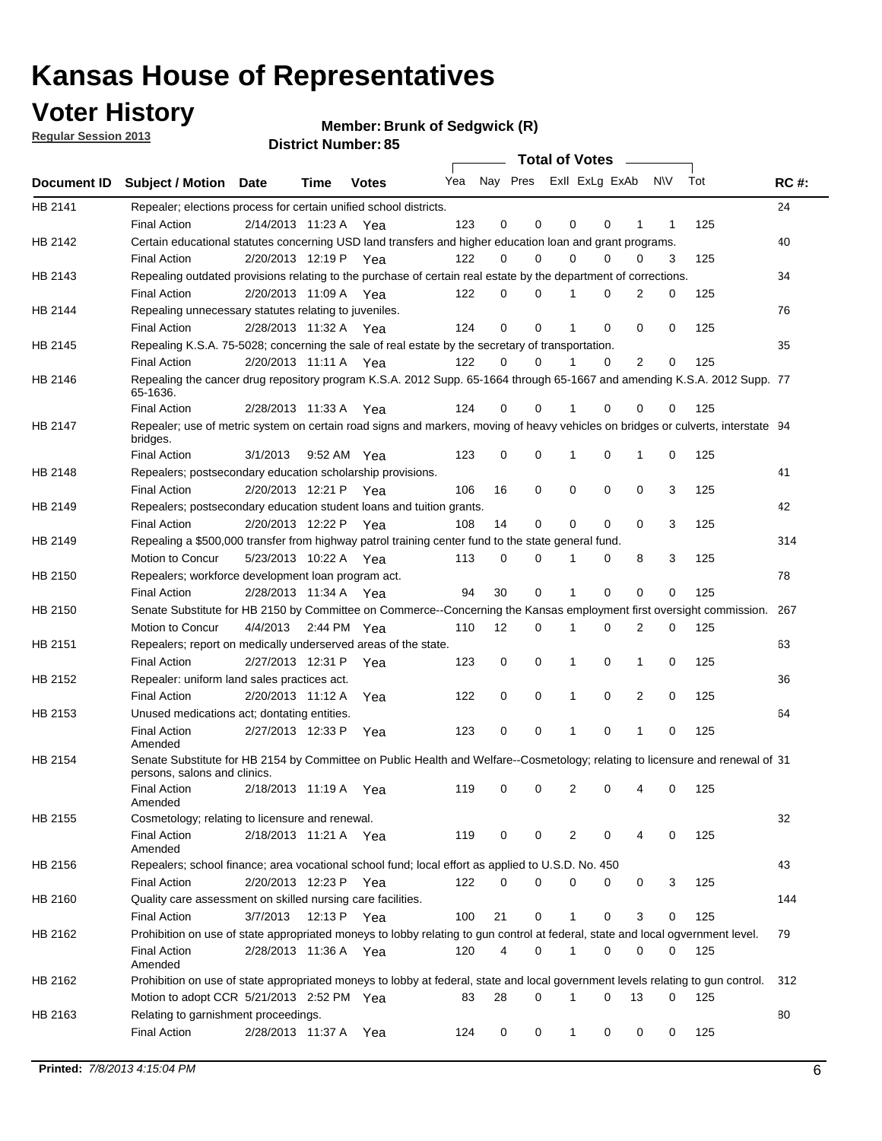## **Voter History**

**Member: Brunk of Sedgwick (R)** 

**Regular Session 2013**

|                    |                                                                                                                                              |          |                       |              |     |    | <b>Total of Votes</b>   |             |          | $\sim 100$     |     |     |             |
|--------------------|----------------------------------------------------------------------------------------------------------------------------------------------|----------|-----------------------|--------------|-----|----|-------------------------|-------------|----------|----------------|-----|-----|-------------|
| <b>Document ID</b> | <b>Subject / Motion Date</b>                                                                                                                 |          | Time                  | <b>Votes</b> | Yea |    | Nay Pres ExII ExLg ExAb |             |          |                | N\V | Tot | <b>RC#:</b> |
| HB 2141            | Repealer; elections process for certain unified school districts.                                                                            |          |                       |              |     |    |                         |             |          |                |     |     | 24          |
|                    | <b>Final Action</b>                                                                                                                          |          | 2/14/2013 11:23 A     | Yea          | 123 | 0  | 0                       | 0           | 0        | 1              | 1   | 125 |             |
| HB 2142            | Certain educational statutes concerning USD land transfers and higher education loan and grant programs.                                     |          |                       |              |     |    |                         |             |          |                |     |     | 40          |
|                    | <b>Final Action</b>                                                                                                                          |          | 2/20/2013 12:19 P Yea |              | 122 | 0  | 0                       | 0           | $\Omega$ | 0              | 3   | 125 |             |
| HB 2143            | Repealing outdated provisions relating to the purchase of certain real estate by the department of corrections.                              |          |                       |              |     |    |                         |             |          |                |     |     | 34          |
|                    | <b>Final Action</b>                                                                                                                          |          | 2/20/2013 11:09 A Yea |              | 122 | 0  | 0                       | 1           | 0        | $\overline{2}$ | 0   | 125 |             |
| HB 2144            | Repealing unnecessary statutes relating to juveniles.                                                                                        |          |                       |              |     |    |                         |             |          |                |     |     | 76          |
|                    | <b>Final Action</b>                                                                                                                          |          | 2/28/2013 11:32 A Yea |              | 124 | 0  | 0                       | 1           | 0        | 0              | 0   | 125 |             |
| HB 2145            | Repealing K.S.A. 75-5028; concerning the sale of real estate by the secretary of transportation.                                             |          |                       |              |     |    |                         |             |          |                |     |     | 35          |
|                    | <b>Final Action</b>                                                                                                                          |          | 2/20/2013 11:11 A Yea |              | 122 | 0  | 0                       | 1           | 0        | 2              | 0   | 125 |             |
| HB 2146            | Repealing the cancer drug repository program K.S.A. 2012 Supp. 65-1664 through 65-1667 and amending K.S.A. 2012 Supp. 77<br>65-1636.         |          |                       |              |     |    |                         |             |          |                |     |     |             |
|                    | <b>Final Action</b>                                                                                                                          |          | 2/28/2013 11:33 A     | Yea          | 124 | 0  | 0                       | 1           | $\Omega$ | 0              | 0   | 125 |             |
| HB 2147            | Repealer; use of metric system on certain road signs and markers, moving of heavy vehicles on bridges or culverts, interstate 94<br>bridges. |          |                       |              |     |    |                         |             |          |                |     |     |             |
|                    | <b>Final Action</b>                                                                                                                          | 3/1/2013 |                       | 9:52 AM Yea  | 123 | 0  | 0                       |             | 0        | 1              | 0   | 125 |             |
| HB 2148            | Repealers; postsecondary education scholarship provisions.                                                                                   |          |                       |              |     |    |                         |             |          |                |     |     | 41          |
|                    | <b>Final Action</b>                                                                                                                          |          | 2/20/2013 12:21 P     | Yea          | 106 | 16 | $\mathbf 0$             | 0           | 0        | $\mathbf 0$    | 3   | 125 |             |
| HB 2149            | Repealers; postsecondary education student loans and tuition grants.                                                                         |          |                       |              |     |    |                         |             |          |                |     |     | 42          |
|                    | <b>Final Action</b>                                                                                                                          |          | 2/20/2013 12:22 P     | Yea          | 108 | 14 | 0                       | 0           | $\Omega$ | $\Omega$       | 3   | 125 |             |
| HB 2149            | Repealing a \$500,000 transfer from highway patrol training center fund to the state general fund.                                           |          |                       |              |     |    |                         |             |          |                |     |     | 314         |
|                    | Motion to Concur                                                                                                                             |          | 5/23/2013 10:22 A Yea |              | 113 | 0  | 0                       |             | 0        | 8              | 3   | 125 |             |
| HB 2150            | Repealers; workforce development loan program act.                                                                                           |          |                       |              |     |    |                         |             |          |                |     |     | 78          |
|                    | <b>Final Action</b>                                                                                                                          |          | 2/28/2013 11:34 A Yea |              | 94  | 30 | $\mathbf 0$             | 1           | 0        | 0              | 0   | 125 |             |
| HB 2150            | Senate Substitute for HB 2150 by Committee on Commerce--Concerning the Kansas employment first oversight commission.                         |          |                       |              |     |    |                         |             |          |                |     |     | 267         |
|                    | Motion to Concur                                                                                                                             |          | 4/4/2013 2:44 PM Yea  |              | 110 | 12 | 0                       | 1           | 0        | 2              | 0   | 125 |             |
| HB 2151            | Repealers; report on medically underserved areas of the state.                                                                               |          |                       |              |     |    |                         |             |          |                |     |     | 63          |
|                    | <b>Final Action</b>                                                                                                                          |          | 2/27/2013 12:31 P     | Yea          | 123 | 0  | $\mathbf 0$             | 1           | 0        | 1              | 0   | 125 |             |
| HB 2152            | Repealer: uniform land sales practices act.                                                                                                  |          |                       |              |     |    |                         |             |          |                |     |     | 36          |
|                    | <b>Final Action</b>                                                                                                                          |          | 2/20/2013 11:12 A     | Yea          | 122 | 0  | $\mathbf 0$             | 1           | 0        | 2              | 0   | 125 |             |
| HB 2153            | Unused medications act; dontating entities.                                                                                                  |          |                       |              |     |    |                         |             |          |                |     |     | 64          |
|                    | <b>Final Action</b><br>Amended                                                                                                               |          | 2/27/2013 12:33 P     | Yea          | 123 | 0  | 0                       | 1           | 0        | 1              | 0   | 125 |             |
| HB 2154            | Senate Substitute for HB 2154 by Committee on Public Health and Welfare--Cosmetology; relating to licensure and renewal of 31                |          |                       |              |     |    |                         |             |          |                |     |     |             |
|                    | persons, salons and clinics.                                                                                                                 |          |                       |              |     |    |                         |             |          |                |     |     |             |
|                    | <b>Final Action</b><br>Amended                                                                                                               |          | 2/18/2013 11:19 A     | Yea          | 119 | 0  | 0                       | 2           | 0        | 4              | 0   | 125 |             |
| HB 2155            | Cosmetology; relating to licensure and renewal.                                                                                              |          |                       |              |     |    |                         |             |          |                |     |     | 32          |
|                    | <b>Final Action</b>                                                                                                                          |          | 2/18/2013 11:21 A Yea |              | 119 | 0  | 0                       | 2           | 0        |                | 0   | 125 |             |
| HB 2156            | Amended<br>Repealers; school finance; area vocational school fund; local effort as applied to U.S.D. No. 450                                 |          |                       |              |     |    |                         |             |          |                |     |     | 43          |
|                    | <b>Final Action</b>                                                                                                                          |          | 2/20/2013 12:23 P     |              | 122 | 0  | 0                       | 0           | 0        | 0              | 3   | 125 |             |
| HB 2160            | Quality care assessment on skilled nursing care facilities.                                                                                  |          |                       | Yea          |     |    |                         |             |          |                |     |     | 144         |
|                    |                                                                                                                                              |          | 12:13 P               |              |     |    |                         |             |          |                |     |     |             |
|                    | <b>Final Action</b>                                                                                                                          | 3/7/2013 |                       | Yea          | 100 | 21 | 0                       | 1           | 0        | 3              | 0   | 125 |             |
| HB 2162            | Prohibition on use of state appropriated moneys to lobby relating to gun control at federal, state and local ogvernment level.               |          |                       |              |     |    |                         |             |          |                |     |     | 79          |
|                    | <b>Final Action</b><br>Amended                                                                                                               |          | 2/28/2013 11:36 A Yea |              | 120 | 4  | 0                       | $\mathbf 1$ | 0        | 0              | 0   | 125 |             |
| HB 2162            | Prohibition on use of state appropriated moneys to lobby at federal, state and local government levels relating to gun control.              |          |                       |              |     |    |                         |             |          |                |     |     | 312         |
|                    | Motion to adopt CCR 5/21/2013 2:52 PM Yea                                                                                                    |          |                       |              | 83  | 28 | 0                       |             | 0        | 13             | 0   | 125 |             |
| HB 2163            | Relating to garnishment proceedings.                                                                                                         |          |                       |              |     |    |                         |             |          |                |     |     | 80          |
|                    | <b>Final Action</b>                                                                                                                          |          | 2/28/2013 11:37 A Yea |              | 124 | 0  | 0                       | $\mathbf 1$ | 0        | 0              | 0   | 125 |             |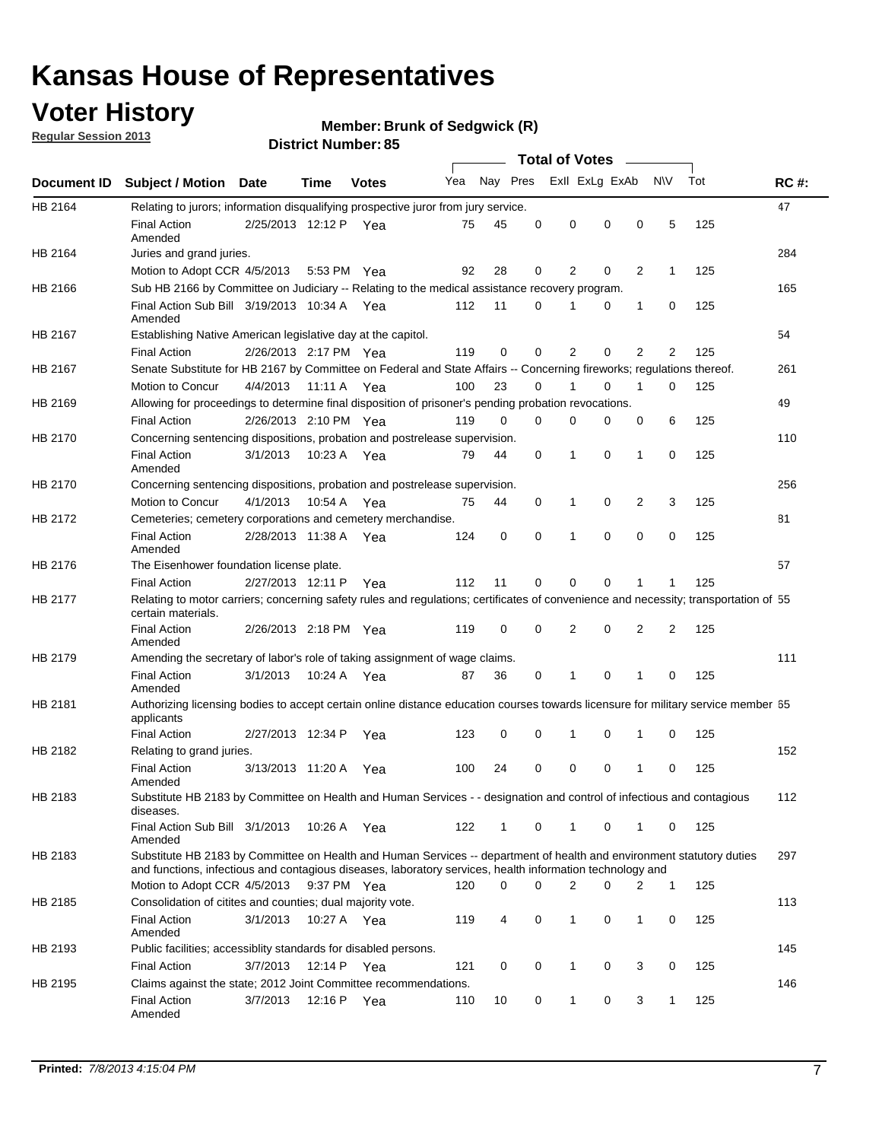## **Voter History**

**Member: Brunk of Sedgwick (R)** 

**Regular Session 2013**

|             |                                                                                                                                                                                                                                    |                       |             | טט ו וטג וזעווווערו ע |     |          |          | <b>Total of Votes</b> |          | $\sim$         |                |     |             |
|-------------|------------------------------------------------------------------------------------------------------------------------------------------------------------------------------------------------------------------------------------|-----------------------|-------------|-----------------------|-----|----------|----------|-----------------------|----------|----------------|----------------|-----|-------------|
| Document ID | <b>Subject / Motion Date</b>                                                                                                                                                                                                       |                       | Time        | <b>Votes</b>          | Yea | Nay Pres |          | Exll ExLg ExAb        |          |                | N\V            | Tot | <b>RC#:</b> |
| HB 2164     | Relating to jurors; information disqualifying prospective juror from jury service.                                                                                                                                                 |                       |             |                       |     |          |          |                       |          |                |                |     | 47          |
|             | <b>Final Action</b><br>Amended                                                                                                                                                                                                     | 2/25/2013 12:12 P Yea |             |                       | 75  | 45       | 0        | 0                     | 0        | 0              | 5              | 125 |             |
| HB 2164     | Juries and grand juries.                                                                                                                                                                                                           |                       |             |                       |     |          |          |                       |          |                |                |     | 284         |
|             | Motion to Adopt CCR 4/5/2013                                                                                                                                                                                                       |                       | 5:53 PM Yea |                       | 92  | 28       | 0        | 2                     | 0        | $\overline{2}$ | 1              | 125 |             |
| HB 2166     | Sub HB 2166 by Committee on Judiciary -- Relating to the medical assistance recovery program.                                                                                                                                      |                       |             |                       |     |          |          |                       |          |                |                |     | 165         |
|             | Final Action Sub Bill 3/19/2013 10:34 A Yea<br>Amended                                                                                                                                                                             |                       |             |                       | 112 | 11       | $\Omega$ |                       | 0        | 1              | 0              | 125 |             |
| HB 2167     | Establishing Native American legislative day at the capitol.                                                                                                                                                                       |                       |             |                       |     |          |          |                       |          |                |                |     | 54          |
|             | <b>Final Action</b>                                                                                                                                                                                                                | 2/26/2013 2:17 PM Yea |             |                       | 119 | 0        | $\Omega$ | 2                     | 0        | $\overline{2}$ | 2              | 125 |             |
| HB 2167     | Senate Substitute for HB 2167 by Committee on Federal and State Affairs -- Concerning fireworks; regulations thereof.                                                                                                              |                       |             |                       |     |          |          |                       |          |                |                |     | 261         |
|             | Motion to Concur                                                                                                                                                                                                                   | 4/4/2013              | 11:11 A Yea |                       | 100 | 23       | 0        | 1                     | 0        | 1              | 0              | 125 |             |
| HB 2169     | Allowing for proceedings to determine final disposition of prisoner's pending probation revocations.                                                                                                                               |                       |             |                       |     |          |          |                       |          |                |                |     | 49          |
|             | <b>Final Action</b>                                                                                                                                                                                                                | 2/26/2013 2:10 PM Yea |             |                       | 119 | 0        | 0        | 0                     | 0        | 0              | 6              | 125 |             |
| HB 2170     | Concerning sentencing dispositions, probation and postrelease supervision.                                                                                                                                                         |                       |             |                       |     |          |          |                       |          |                |                |     | 110         |
|             | <b>Final Action</b><br>Amended                                                                                                                                                                                                     | 3/1/2013              | 10:23 A Yea |                       | 79  | 44       | 0        | 1                     | 0        | 1              | 0              | 125 |             |
| HB 2170     | Concerning sentencing dispositions, probation and postrelease supervision.                                                                                                                                                         |                       |             |                       |     |          |          |                       |          |                |                |     | 256         |
|             | Motion to Concur                                                                                                                                                                                                                   | 4/1/2013              | 10:54 A Yea |                       | 75  | 44       | 0        | 1                     | 0        | $\overline{2}$ | 3              | 125 |             |
| HB 2172     | Cemeteries; cemetery corporations and cemetery merchandise.                                                                                                                                                                        |                       |             |                       |     |          |          |                       |          |                |                |     | 81          |
|             | <b>Final Action</b><br>Amended                                                                                                                                                                                                     | 2/28/2013 11:38 A Yea |             |                       | 124 | 0        | 0        | 1                     | 0        | $\Omega$       | 0              | 125 |             |
| HB 2176     | The Eisenhower foundation license plate.                                                                                                                                                                                           |                       |             |                       |     |          |          |                       |          |                |                |     | 57          |
|             | <b>Final Action</b>                                                                                                                                                                                                                | 2/27/2013 12:11 P     |             | Yea                   | 112 | 11       | $\Omega$ | 0                     | 0        | 1              | 1              | 125 |             |
| HB 2177     | Relating to motor carriers; concerning safety rules and regulations; certificates of convenience and necessity; transportation of 55<br>certain materials.                                                                         |                       |             |                       |     |          |          |                       |          |                |                |     |             |
|             | <b>Final Action</b><br>Amended                                                                                                                                                                                                     | 2/26/2013 2:18 PM Yea |             |                       | 119 | 0        | $\Omega$ | 2                     | 0        | $\overline{2}$ | $\overline{2}$ | 125 |             |
| HB 2179     | Amending the secretary of labor's role of taking assignment of wage claims.                                                                                                                                                        |                       |             |                       |     |          |          |                       |          |                |                |     | 111         |
|             | <b>Final Action</b><br>Amended                                                                                                                                                                                                     | 3/1/2013              | 10:24 A Yea |                       | 87  | 36       | 0        | 1                     | $\Omega$ | 1              | 0              | 125 |             |
| HB 2181     | Authorizing licensing bodies to accept certain online distance education courses towards licensure for military service member 55<br>applicants                                                                                    |                       |             |                       |     |          |          |                       |          |                |                |     |             |
|             | <b>Final Action</b>                                                                                                                                                                                                                | 2/27/2013 12:34 P     |             | Yea                   | 123 | 0        | 0        |                       | 0        | 1              | 0              | 125 |             |
| HB 2182     | Relating to grand juries.                                                                                                                                                                                                          |                       |             |                       |     |          |          |                       |          |                |                |     | 152         |
|             | <b>Final Action</b><br>Amended                                                                                                                                                                                                     | 3/13/2013 11:20 A     |             | Yea                   | 100 | 24       | 0        | 0                     | 0        | 1              | 0              | 125 |             |
| HB 2183     | Substitute HB 2183 by Committee on Health and Human Services - - designation and control of infectious and contagious<br>diseases.                                                                                                 |                       |             |                       |     |          |          |                       |          |                |                |     | 112         |
|             | Final Action Sub Bill 3/1/2013<br>Amended                                                                                                                                                                                          |                       | 10:26 A Yea |                       | 122 | 1        | 0        | 1                     | 0        | 1              | 0              | 125 |             |
| HB 2183     | Substitute HB 2183 by Committee on Health and Human Services -- department of health and environment statutory duties<br>and functions, infectious and contagious diseases, laboratory services, health information technology and |                       |             |                       |     |          |          |                       |          |                |                |     | 297         |
|             | Motion to Adopt CCR 4/5/2013                                                                                                                                                                                                       |                       | 9:37 PM Yea |                       | 120 | 0        | 0        | 2                     | 0        | 2              | 1              | 125 |             |
| HB 2185     | Consolidation of citites and counties; dual majority vote.                                                                                                                                                                         |                       |             |                       |     |          |          |                       |          |                |                |     | 113         |
|             | <b>Final Action</b><br>Amended                                                                                                                                                                                                     | 3/1/2013              | 10:27 A Yea |                       | 119 | 4        | 0        | 1                     | 0        | $\mathbf{1}$   | 0              | 125 |             |
| HB 2193     | Public facilities; accessiblity standards for disabled persons.                                                                                                                                                                    |                       |             |                       |     |          |          |                       |          |                |                |     | 145         |
|             | <b>Final Action</b>                                                                                                                                                                                                                | 3/7/2013              | 12:14 P     | Yea                   | 121 | 0        | 0        | 1                     | 0        | 3              | 0              | 125 |             |
| HB 2195     | Claims against the state; 2012 Joint Committee recommendations.                                                                                                                                                                    |                       |             |                       |     |          |          |                       |          |                |                |     | 146         |
|             | <b>Final Action</b><br>Amended                                                                                                                                                                                                     | 3/7/2013              | 12:16 P Yea |                       | 110 | 10       | 0        | 1                     | 0        | 3              | 1              | 125 |             |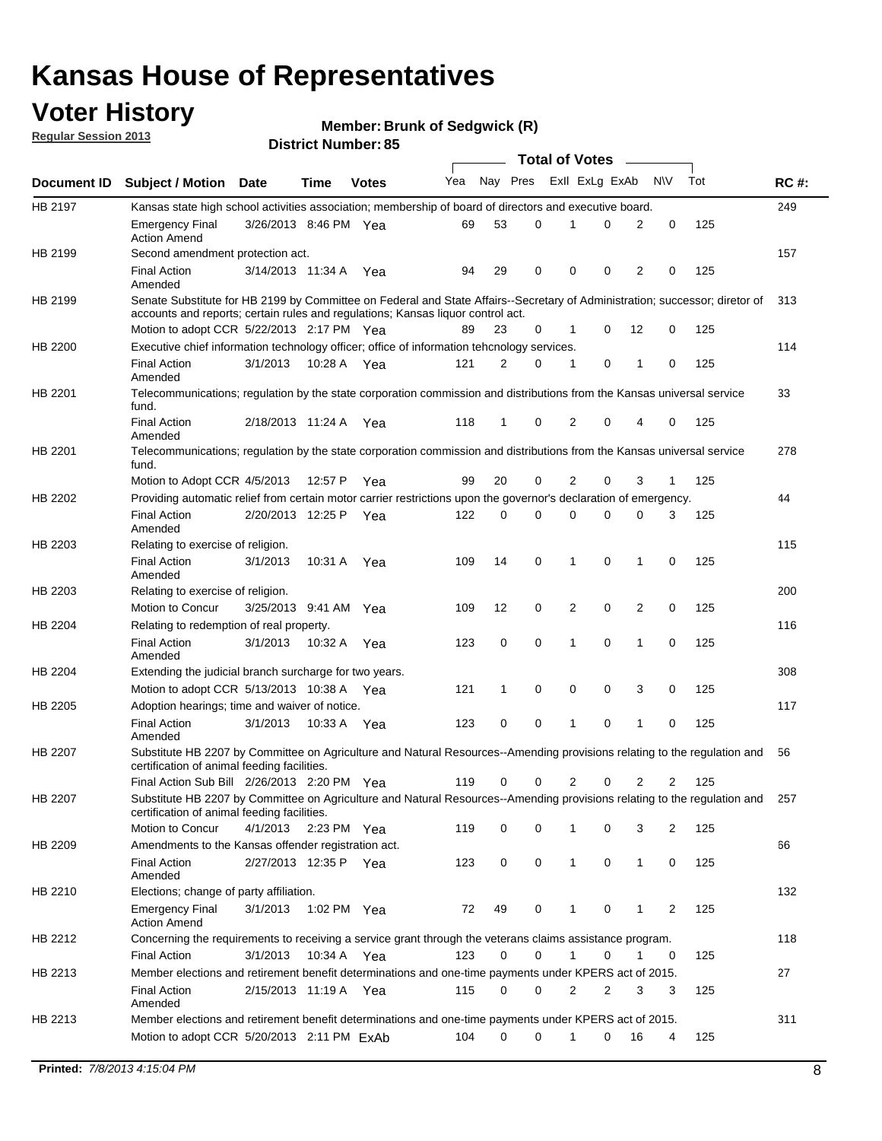## **Voter History**

**Member: Brunk of Sedgwick (R)** 

**Regular Session 2013**

|                    |                                                                                                                                                                                                                |                       | טט הסעוווטנו ועוווטכו |              |     |              | <b>Total of Votes</b> |                |   | $\overline{\phantom{a}}$ |           |     |     |
|--------------------|----------------------------------------------------------------------------------------------------------------------------------------------------------------------------------------------------------------|-----------------------|-----------------------|--------------|-----|--------------|-----------------------|----------------|---|--------------------------|-----------|-----|-----|
| <b>Document ID</b> | <b>Subject / Motion Date</b>                                                                                                                                                                                   |                       | <b>Time</b>           | <b>Votes</b> | Yea | Nay Pres     |                       | Exll ExLg ExAb |   |                          | <b>NV</b> | Tot | RC# |
| HB 2197            | Kansas state high school activities association; membership of board of directors and executive board.                                                                                                         |                       |                       |              |     |              |                       |                |   |                          |           |     | 249 |
|                    | <b>Emergency Final</b><br><b>Action Amend</b>                                                                                                                                                                  | 3/26/2013 8:46 PM Yea |                       |              | 69  | 53           | 0                     | 1              | 0 | 2                        | 0         | 125 |     |
| HB 2199            | Second amendment protection act.                                                                                                                                                                               |                       |                       |              |     |              |                       |                |   |                          |           |     | 157 |
|                    | <b>Final Action</b><br>Amended                                                                                                                                                                                 | 3/14/2013 11:34 A     |                       | Yea          | 94  | 29           | 0                     | 0              | 0 | 2                        | 0         | 125 |     |
| HB 2199            | Senate Substitute for HB 2199 by Committee on Federal and State Affairs--Secretary of Administration; successor; diretor of<br>accounts and reports; certain rules and regulations; Kansas liquor control act. |                       |                       |              |     |              |                       |                |   |                          |           |     | 313 |
|                    | Motion to adopt CCR 5/22/2013 2:17 PM Yea                                                                                                                                                                      |                       |                       |              | 89  | 23           | 0                     | $\mathbf 1$    | 0 | 12                       | 0         | 125 |     |
| HB 2200            | Executive chief information technology officer; office of information tehcnology services.                                                                                                                     |                       |                       |              |     |              |                       |                |   |                          |           |     | 114 |
|                    | <b>Final Action</b><br>Amended                                                                                                                                                                                 | 3/1/2013              | 10:28 A Yea           |              | 121 | 2            | 0                     | 1              | 0 | 1                        | 0         | 125 |     |
| HB 2201            | Telecommunications; regulation by the state corporation commission and distributions from the Kansas universal service<br>fund.                                                                                |                       |                       |              |     |              |                       |                |   |                          |           |     | 33  |
|                    | <b>Final Action</b><br>Amended                                                                                                                                                                                 | 2/18/2013 11:24 A     |                       | Yea          | 118 | 1            | 0                     | 2              | 0 | 4                        | 0         | 125 |     |
| HB 2201            | Telecommunications; regulation by the state corporation commission and distributions from the Kansas universal service<br>fund.                                                                                |                       |                       |              |     |              |                       |                |   |                          |           |     | 278 |
|                    | Motion to Adopt CCR 4/5/2013                                                                                                                                                                                   |                       | 12:57 P               | Yea          | 99  | 20           | 0                     | 2              | 0 | 3                        | 1         | 125 |     |
| HB 2202            | Providing automatic relief from certain motor carrier restrictions upon the governor's declaration of emergency.                                                                                               |                       |                       |              |     |              |                       |                |   |                          |           |     | 44  |
|                    | <b>Final Action</b><br>Amended                                                                                                                                                                                 | 2/20/2013 12:25 P     |                       | Yea          | 122 | 0            | 0                     | $\Omega$       | 0 | 0                        | 3         | 125 |     |
| HB 2203            | Relating to exercise of religion.                                                                                                                                                                              |                       |                       |              |     |              |                       |                |   |                          |           |     | 115 |
|                    | <b>Final Action</b><br>Amended                                                                                                                                                                                 | 3/1/2013              | 10:31 A               | Yea          | 109 | 14           | 0                     | 1              | 0 | 1                        | 0         | 125 |     |
| HB 2203            | Relating to exercise of religion.                                                                                                                                                                              |                       |                       |              |     |              |                       |                |   |                          |           |     | 200 |
|                    | Motion to Concur                                                                                                                                                                                               | 3/25/2013 9:41 AM     |                       | Yea          | 109 | 12           | 0                     | 2              | 0 | 2                        | 0         | 125 |     |
| HB 2204            | Relating to redemption of real property.                                                                                                                                                                       |                       |                       |              |     |              |                       |                |   |                          |           |     | 116 |
|                    | <b>Final Action</b><br>Amended                                                                                                                                                                                 | 3/1/2013              | 10:32 A               | Yea          | 123 | 0            | 0                     | 1              | 0 | 1                        | 0         | 125 |     |
| HB 2204            | Extending the judicial branch surcharge for two years.                                                                                                                                                         |                       |                       |              |     |              |                       |                |   |                          |           |     | 308 |
|                    | Motion to adopt CCR $5/13/2013$ 10:38 A Yea                                                                                                                                                                    |                       |                       |              | 121 | $\mathbf{1}$ | 0                     | 0              | 0 | 3                        | 0         | 125 |     |
| HB 2205            | Adoption hearings; time and waiver of notice.                                                                                                                                                                  |                       |                       |              |     |              |                       |                |   |                          |           |     | 117 |
|                    | <b>Final Action</b><br>Amended                                                                                                                                                                                 | 3/1/2013              | 10:33 A Yea           |              | 123 | 0            | 0                     | 1              | 0 | 1                        | 0         | 125 |     |
| HB 2207            | Substitute HB 2207 by Committee on Agriculture and Natural Resources--Amending provisions relating to the regulation and<br>certification of animal feeding facilities.                                        |                       |                       |              |     |              |                       |                |   |                          |           |     | 56  |
|                    | Final Action Sub Bill 2/26/2013 2:20 PM Yea                                                                                                                                                                    |                       |                       |              | 119 | 0            | 0                     | 2              | 0 | 2                        | 2         | 125 |     |
| HB 2207            | Substitute HB 2207 by Committee on Agriculture and Natural Resources--Amending provisions relating to the regulation and<br>certification of animal feeding facilities.                                        |                       |                       |              |     |              |                       |                |   |                          |           |     | 257 |
|                    | Motion to Concur                                                                                                                                                                                               | 4/1/2013 2:23 PM Yea  |                       |              | 119 | 0            | 0                     | 1              | 0 | 3                        | 2         | 125 |     |
| HB 2209            | Amendments to the Kansas offender registration act.                                                                                                                                                            |                       |                       |              |     |              |                       |                |   |                          |           |     | 66  |
|                    | <b>Final Action</b><br>Amended                                                                                                                                                                                 | 2/27/2013 12:35 P Yea |                       |              | 123 | 0            | 0                     | 1              | 0 | $\mathbf{1}$             | 0         | 125 |     |
| HB 2210            | Elections; change of party affiliation.                                                                                                                                                                        |                       |                       |              |     |              |                       |                |   |                          |           |     | 132 |
|                    | Emergency Final<br><b>Action Amend</b>                                                                                                                                                                         | 3/1/2013              | 1:02 PM Yea           |              | 72  | 49           | 0                     | 1              | 0 | 1                        | 2         | 125 |     |
| HB 2212            | Concerning the requirements to receiving a service grant through the veterans claims assistance program.<br><b>Final Action</b>                                                                                | 3/1/2013              | 10:34 A               | Yea          | 123 | 0            | 0                     | 1              | 0 | 1                        | 0         | 125 | 118 |
| HB 2213            | Member elections and retirement benefit determinations and one-time payments under KPERS act of 2015.                                                                                                          |                       |                       |              |     |              |                       |                |   |                          |           |     | 27  |
|                    | <b>Final Action</b><br>Amended                                                                                                                                                                                 | 2/15/2013 11:19 A Yea |                       |              | 115 | 0            | 0                     | 2              | 2 | 3                        | 3         | 125 |     |
| HB 2213            | Member elections and retirement benefit determinations and one-time payments under KPERS act of 2015.                                                                                                          |                       |                       |              |     |              |                       |                |   |                          |           |     | 311 |
|                    | Motion to adopt CCR 5/20/2013 2:11 PM ExAb                                                                                                                                                                     |                       |                       |              | 104 | 0            | 0                     | 1              | 0 | 16                       | 4         | 125 |     |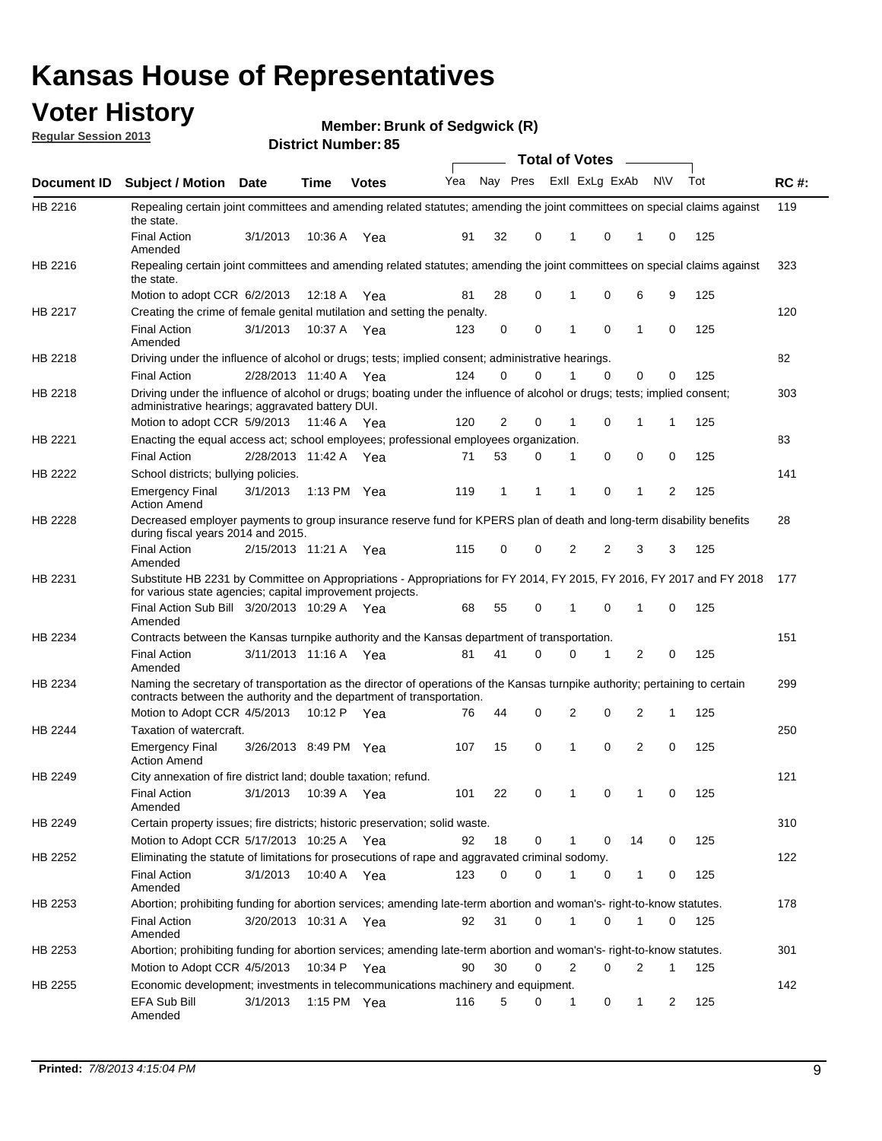## **Voter History**

**Member: Brunk of Sedgwick (R)** 

**Regular Session 2013**

|                |                                                                                                                                                                                                       |                       |             |               |                             |    |             | <b>Total of Votes</b> |          | $\sim$ 100 $\mu$ |              |     |             |
|----------------|-------------------------------------------------------------------------------------------------------------------------------------------------------------------------------------------------------|-----------------------|-------------|---------------|-----------------------------|----|-------------|-----------------------|----------|------------------|--------------|-----|-------------|
| Document ID    | Subject / Motion Date                                                                                                                                                                                 |                       | <b>Time</b> | <b>Votes</b>  | Yea Nay Pres ExII ExLg ExAb |    |             |                       |          |                  | N\V          | Tot | <b>RC#:</b> |
| HB 2216        | Repealing certain joint committees and amending related statutes; amending the joint committees on special claims against<br>the state.                                                               |                       |             |               |                             |    |             |                       |          |                  |              |     | 119         |
|                | <b>Final Action</b><br>Amended                                                                                                                                                                        | 3/1/2013              | 10:36 A     | Yea           | 91                          | 32 | 0           | 1                     | 0        | 1                | 0            | 125 |             |
| HB 2216        | Repealing certain joint committees and amending related statutes; amending the joint committees on special claims against<br>the state.                                                               |                       |             |               |                             |    |             |                       |          |                  |              |     | 323         |
|                | Motion to adopt CCR 6/2/2013                                                                                                                                                                          |                       | 12:18 A     | Yea           | 81                          | 28 | 0           | 1                     | 0        | 6                | 9            | 125 |             |
| HB 2217        | Creating the crime of female genital mutilation and setting the penalty.                                                                                                                              |                       |             |               |                             |    |             |                       |          |                  |              |     | 120         |
|                | <b>Final Action</b><br>Amended                                                                                                                                                                        | 3/1/2013              | 10:37 A Yea |               | 123                         | 0  | $\mathbf 0$ | 1                     | 0        | $\mathbf 1$      | 0            | 125 |             |
| HB 2218        | Driving under the influence of alcohol or drugs; tests; implied consent; administrative hearings.                                                                                                     |                       |             |               |                             |    |             |                       |          |                  |              |     | 82          |
|                | <b>Final Action</b>                                                                                                                                                                                   | 2/28/2013 11:40 A Yea |             |               | 124                         | 0  | $\Omega$    |                       | 0        | 0                | 0            | 125 |             |
| HB 2218        | Driving under the influence of alcohol or drugs; boating under the influence of alcohol or drugs; tests; implied consent;<br>administrative hearings; aggravated battery DUI.                         |                       |             |               |                             |    |             |                       |          |                  |              |     | 303         |
|                | Motion to adopt CCR 5/9/2013                                                                                                                                                                          |                       | 11:46 A Yea |               | 120                         | 2  | 0           | 1                     | 0        | 1                | $\mathbf{1}$ | 125 |             |
| HB 2221        | Enacting the equal access act; school employees; professional employees organization.                                                                                                                 |                       |             |               |                             |    |             |                       |          |                  |              |     | 83          |
|                | <b>Final Action</b>                                                                                                                                                                                   | 2/28/2013 11:42 A Yea |             |               | 71                          | 53 | 0           | 1                     | 0        | 0                | 0            | 125 |             |
| HB 2222        | School districts; bullying policies.<br><b>Emergency Final</b>                                                                                                                                        | 3/1/2013              |             | 1:13 PM $Yea$ | 119                         | 1  | 1           | 1                     | 0        | 1                | 2            | 125 | 141         |
|                | <b>Action Amend</b>                                                                                                                                                                                   |                       |             |               |                             |    |             |                       |          |                  |              |     |             |
| HB 2228        | Decreased employer payments to group insurance reserve fund for KPERS plan of death and long-term disability benefits<br>during fiscal years 2014 and 2015.                                           |                       |             |               |                             |    |             |                       |          |                  |              |     | 28          |
|                | <b>Final Action</b><br>Amended                                                                                                                                                                        | 2/15/2013 11:21 A     |             | Yea           | 115                         | 0  | 0           | 2                     | 2        | 3                | 3            | 125 |             |
| HB 2231        | Substitute HB 2231 by Committee on Appropriations - Appropriations for FY 2014, FY 2015, FY 2016, FY 2017 and FY 2018 177<br>for various state agencies; capital improvement projects.                |                       |             |               |                             |    |             |                       |          |                  |              |     |             |
|                | Final Action Sub Bill 3/20/2013 10:29 A Yea<br>Amended                                                                                                                                                |                       |             |               | 68                          | 55 | 0           | 1                     | 0        | 1                | 0            | 125 |             |
| HB 2234        | Contracts between the Kansas turnpike authority and the Kansas department of transportation.                                                                                                          |                       |             |               |                             |    |             |                       |          |                  |              |     | 151         |
|                | <b>Final Action</b><br>Amended                                                                                                                                                                        | 3/11/2013 11:16 A     |             | Yea           | 81                          | 41 | 0           | 0                     | 1        | 2                | 0            | 125 |             |
| HB 2234        | Naming the secretary of transportation as the director of operations of the Kansas turnpike authority; pertaining to certain<br>contracts between the authority and the department of transportation. |                       |             |               |                             |    |             |                       |          |                  |              |     | 299         |
|                | Motion to Adopt CCR 4/5/2013                                                                                                                                                                          |                       |             | 10:12 P Yea   | 76                          | 44 | 0           | 2                     | 0        | 2                | 1            | 125 |             |
| <b>HB 2244</b> | Taxation of watercraft.                                                                                                                                                                               |                       |             |               |                             |    |             |                       |          |                  |              |     | 250         |
|                | <b>Emergency Final</b><br><b>Action Amend</b>                                                                                                                                                         | 3/26/2013 8:49 PM Yea |             |               | 107                         | 15 | 0           | 1                     | 0        | $\overline{2}$   | 0            | 125 |             |
| HB 2249        | City annexation of fire district land; double taxation; refund.                                                                                                                                       |                       |             |               |                             |    |             |                       |          |                  |              |     | 121         |
|                | Final Action<br>Amended                                                                                                                                                                               | 3/1/2013 10:39 A Yea  |             |               | 101                         | 22 | $\Omega$    | $\mathbf{1}$          | $\Omega$ | $\mathbf 1$      | $\Omega$     | 125 |             |
| HB 2249        | Certain property issues; fire districts; historic preservation; solid waste.                                                                                                                          |                       |             |               |                             |    |             |                       |          |                  |              |     | 310         |
|                | Motion to Adopt CCR 5/17/2013 10:25 A Yea                                                                                                                                                             |                       |             |               | 92                          | 18 | 0           |                       | 0        | 14               | 0            | 125 |             |
| HB 2252        | Eliminating the statute of limitations for prosecutions of rape and aggravated criminal sodomy.                                                                                                       |                       |             |               |                             |    |             |                       |          |                  |              |     | 122         |
|                | <b>Final Action</b><br>Amended                                                                                                                                                                        | 3/1/2013              | 10:40 A Yea |               | 123                         | 0  | $\Omega$    |                       | 0        | 1                | 0            | 125 |             |
| HB 2253        | Abortion; prohibiting funding for abortion services; amending late-term abortion and woman's- right-to-know statutes.                                                                                 |                       |             |               |                             |    |             |                       |          |                  |              |     | 178         |
|                | <b>Final Action</b><br>Amended                                                                                                                                                                        | 3/20/2013 10:31 A Yea |             |               | 92                          | 31 | 0           | 1                     | 0        | 1                | 0            | 125 |             |
| HB 2253        | Abortion; prohibiting funding for abortion services; amending late-term abortion and woman's- right-to-know statutes.                                                                                 |                       |             |               |                             |    |             |                       |          |                  |              |     | 301         |
|                | Motion to Adopt CCR 4/5/2013                                                                                                                                                                          |                       |             | 10:34 P Yea   | 90                          | 30 | 0           | 2                     | 0        | 2                | 1            | 125 |             |
| HB 2255        | Economic development; investments in telecommunications machinery and equipment.                                                                                                                      |                       |             |               |                             |    |             |                       |          |                  |              |     | 142         |
|                | EFA Sub Bill<br>Amended                                                                                                                                                                               | 3/1/2013              |             | 1:15 PM Yea   | 116                         | 5  | 0           | 1                     | 0        | 1                | 2            | 125 |             |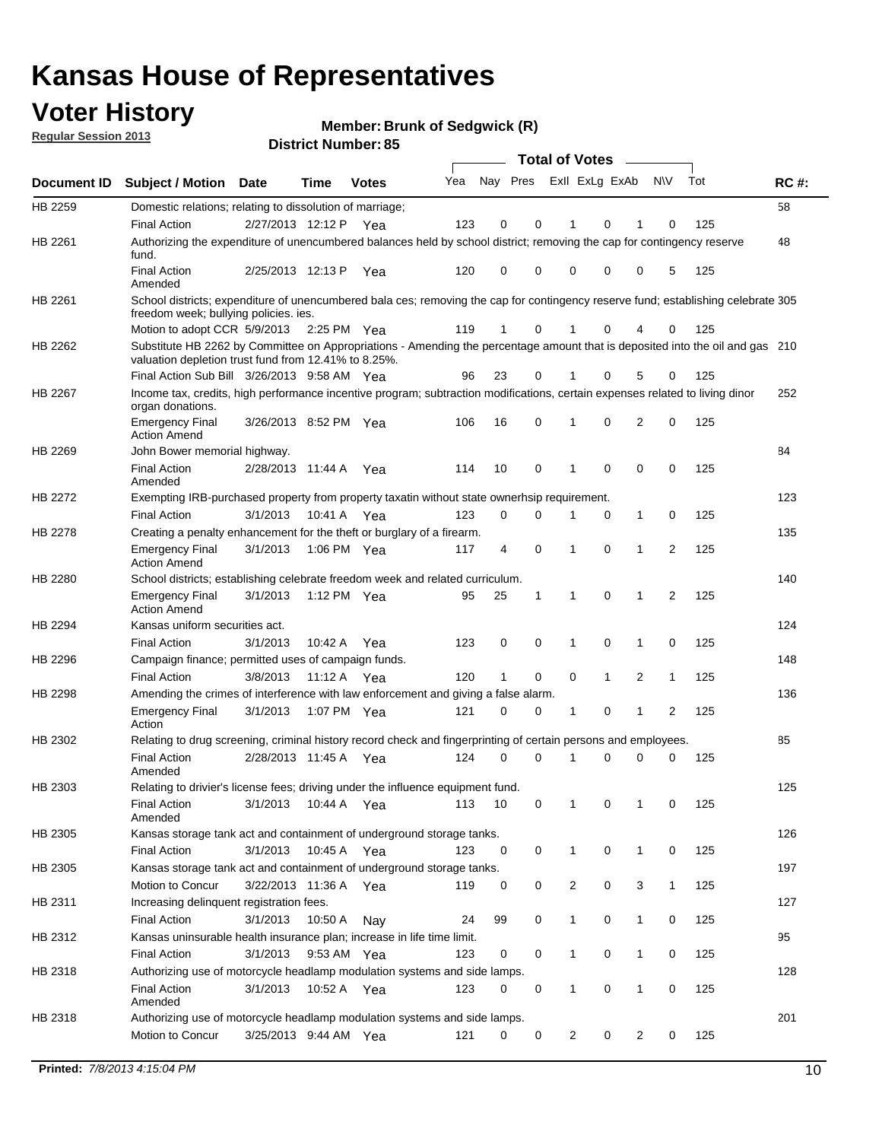## **Voter History**

**Member: Brunk of Sedgwick (R)** 

**Regular Session 2013**

|             |                                                                                                                                                                                       |                       |             |              |     |                         |             | <b>Total of Votes</b> |              | $\sim$         |                |     |             |
|-------------|---------------------------------------------------------------------------------------------------------------------------------------------------------------------------------------|-----------------------|-------------|--------------|-----|-------------------------|-------------|-----------------------|--------------|----------------|----------------|-----|-------------|
| Document ID | <b>Subject / Motion</b>                                                                                                                                                               | Date                  | <b>Time</b> | <b>Votes</b> | Yea | Nay Pres ExII ExLg ExAb |             |                       |              |                | N\V            | Tot | <b>RC#:</b> |
| HB 2259     | Domestic relations; relating to dissolution of marriage;                                                                                                                              |                       |             |              |     |                         |             |                       |              |                |                |     | 58          |
|             | <b>Final Action</b>                                                                                                                                                                   | 2/27/2013 12:12 P Yea |             |              | 123 | $\mathbf 0$             | 0           | 1                     | $\Omega$     | 1              | 0              | 125 |             |
| HB 2261     | Authorizing the expenditure of unencumbered balances held by school district; removing the cap for contingency reserve<br>fund.                                                       |                       |             |              |     |                         |             |                       |              |                |                |     | 48          |
|             | <b>Final Action</b><br>Amended                                                                                                                                                        | 2/25/2013 12:13 P     |             | Yea          | 120 | 0                       | 0           | 0                     | 0            | 0              | 5              | 125 |             |
| HB 2261     | School districts; expenditure of unencumbered bala ces; removing the cap for contingency reserve fund; establishing celebrate 305<br>freedom week; bullying policies, ies.            |                       |             |              |     |                         |             |                       |              |                |                |     |             |
|             | Motion to adopt CCR 5/9/2013                                                                                                                                                          |                       | 2:25 PM Yea |              | 119 | $\mathbf{1}$            | 0           | 1                     | 0            | 4              | 0              | 125 |             |
| HB 2262     | Substitute HB 2262 by Committee on Appropriations - Amending the percentage amount that is deposited into the oil and gas 210<br>valuation depletion trust fund from 12.41% to 8.25%. |                       |             |              |     |                         |             |                       |              |                |                |     |             |
|             | Final Action Sub Bill 3/26/2013 9:58 AM Yea                                                                                                                                           |                       |             |              | 96  | 23                      | 0           |                       | 0            | 5              | 0              | 125 |             |
| HB 2267     | Income tax, credits, high performance incentive program; subtraction modifications, certain expenses related to living dinor<br>organ donations.                                      |                       |             |              |     |                         |             |                       |              |                |                |     | 252         |
|             | <b>Emergency Final</b><br><b>Action Amend</b>                                                                                                                                         | 3/26/2013 8:52 PM Yea |             |              | 106 | 16                      | 0           | 1                     | 0            | 2              | 0              | 125 |             |
| HB 2269     | John Bower memorial highway.                                                                                                                                                          |                       |             |              |     |                         |             |                       |              |                |                |     | 84          |
|             | <b>Final Action</b><br>Amended                                                                                                                                                        | 2/28/2013 11:44 A     |             | Yea          | 114 | 10                      | $\mathbf 0$ | $\mathbf 1$           | $\mathbf 0$  | 0              | $\mathbf 0$    | 125 |             |
| HB 2272     | Exempting IRB-purchased property from property taxatin without state ownerhsip requirement.                                                                                           |                       |             |              |     |                         |             |                       |              |                |                |     | 123         |
|             | <b>Final Action</b>                                                                                                                                                                   | 3/1/2013              | 10:41 A     | Yea          | 123 | 0                       | 0           | 1                     | 0            | 1              | 0              | 125 |             |
| HB 2278     | Creating a penalty enhancement for the theft or burglary of a firearm.                                                                                                                |                       |             |              |     |                         |             |                       |              |                |                |     | 135         |
|             | <b>Emergency Final</b><br><b>Action Amend</b>                                                                                                                                         | 3/1/2013              | 1:06 PM Yea |              | 117 | 4                       | 0           | $\mathbf 1$           | 0            | 1              | $\overline{2}$ | 125 |             |
| HB 2280     | School districts; establishing celebrate freedom week and related curriculum.                                                                                                         |                       |             |              |     |                         |             |                       |              |                |                |     | 140         |
|             | <b>Emergency Final</b><br><b>Action Amend</b>                                                                                                                                         | 3/1/2013              | 1:12 PM Yea |              | 95  | 25                      | 1           | $\mathbf{1}$          | 0            | 1              | 2              | 125 |             |
| HB 2294     | Kansas uniform securities act.                                                                                                                                                        |                       |             |              |     |                         |             |                       |              |                |                |     | 124         |
|             | <b>Final Action</b>                                                                                                                                                                   | 3/1/2013              | 10:42 A Yea |              | 123 | 0                       | 0           | 1                     | 0            | 1              | 0              | 125 |             |
| HB 2296     | Campaign finance; permitted uses of campaign funds.                                                                                                                                   |                       |             |              |     |                         |             |                       |              |                |                |     | 148         |
|             | <b>Final Action</b>                                                                                                                                                                   | 3/8/2013              | 11:12 A Yea |              | 120 | $\mathbf{1}$            | 0           | 0                     | $\mathbf{1}$ | $\overline{2}$ | $\mathbf{1}$   | 125 |             |
| HB 2298     | Amending the crimes of interference with law enforcement and giving a false alarm.                                                                                                    |                       |             |              |     |                         |             |                       |              |                |                |     | 136         |
|             | <b>Emergency Final</b><br>Action                                                                                                                                                      | 3/1/2013              | 1:07 PM Yea |              | 121 | 0                       | 0           | 1                     | 0            | $\mathbf 1$    | 2              | 125 |             |
| HB 2302     | Relating to drug screening, criminal history record check and fingerprinting of certain persons and employees.                                                                        |                       |             |              |     |                         |             |                       |              |                |                |     | 85          |
|             | <b>Final Action</b><br>Amended                                                                                                                                                        | 2/28/2013 11:45 A     |             | Yea          | 124 | 0                       | 0           | $\mathbf 1$           | 0            | 0              | 0              | 125 |             |
| HB 2303     | Relating to drivier's license fees; driving under the influence equipment fund.                                                                                                       |                       |             |              |     |                         |             |                       |              |                |                |     | 125         |
|             | <b>Final Action</b><br>Amended                                                                                                                                                        | 3/1/2013              | 10:44 A     | Yea          | 113 | 10                      | 0           | 1                     | 0            | 1              | 0              | 125 |             |
| HB 2305     | Kansas storage tank act and containment of underground storage tanks.                                                                                                                 |                       |             |              |     |                         |             |                       |              |                |                |     | 126         |
|             | <b>Final Action</b>                                                                                                                                                                   | 3/1/2013              | 10:45 A     | Yea          | 123 | 0                       | 0           | $\mathbf{1}$          | 0            | 1              | 0              | 125 |             |
| HB 2305     | Kansas storage tank act and containment of underground storage tanks.                                                                                                                 |                       |             |              |     |                         |             |                       |              |                |                |     | 197         |
|             | Motion to Concur                                                                                                                                                                      | 3/22/2013 11:36 A     |             | Yea          | 119 | 0                       | 0           | 2                     | 0            | 3              | $\mathbf{1}$   | 125 |             |
| HB 2311     | Increasing delinquent registration fees.                                                                                                                                              |                       |             |              |     |                         |             |                       |              |                |                |     | 127         |
|             | <b>Final Action</b>                                                                                                                                                                   | 3/1/2013              | 10:50 A     | Nay          | 24  | 99                      | 0           | $\mathbf{1}$          | 0            | 1              | 0              | 125 |             |
| HB 2312     | Kansas uninsurable health insurance plan; increase in life time limit.                                                                                                                |                       |             |              |     |                         |             |                       |              |                |                |     | 95          |
|             | <b>Final Action</b>                                                                                                                                                                   | 3/1/2013              | 9:53 AM Yea |              | 123 | 0                       | 0           | $\mathbf{1}$          | 0            | 1              | 0              | 125 |             |
| HB 2318     | Authorizing use of motorcycle headlamp modulation systems and side lamps.                                                                                                             |                       |             |              |     |                         |             |                       |              |                |                |     | 128         |
|             | <b>Final Action</b><br>Amended                                                                                                                                                        | 3/1/2013              | 10:52 A Yea |              | 123 | 0                       | 0           | 1                     | 0            | 1              | 0              | 125 |             |
| HB 2318     | Authorizing use of motorcycle headlamp modulation systems and side lamps.                                                                                                             |                       |             |              |     |                         |             |                       |              |                |                |     | 201         |
|             | Motion to Concur                                                                                                                                                                      | 3/25/2013 9:44 AM Yea |             |              | 121 | 0                       | 0           | $\overline{c}$        | 0            | $\overline{2}$ | 0              | 125 |             |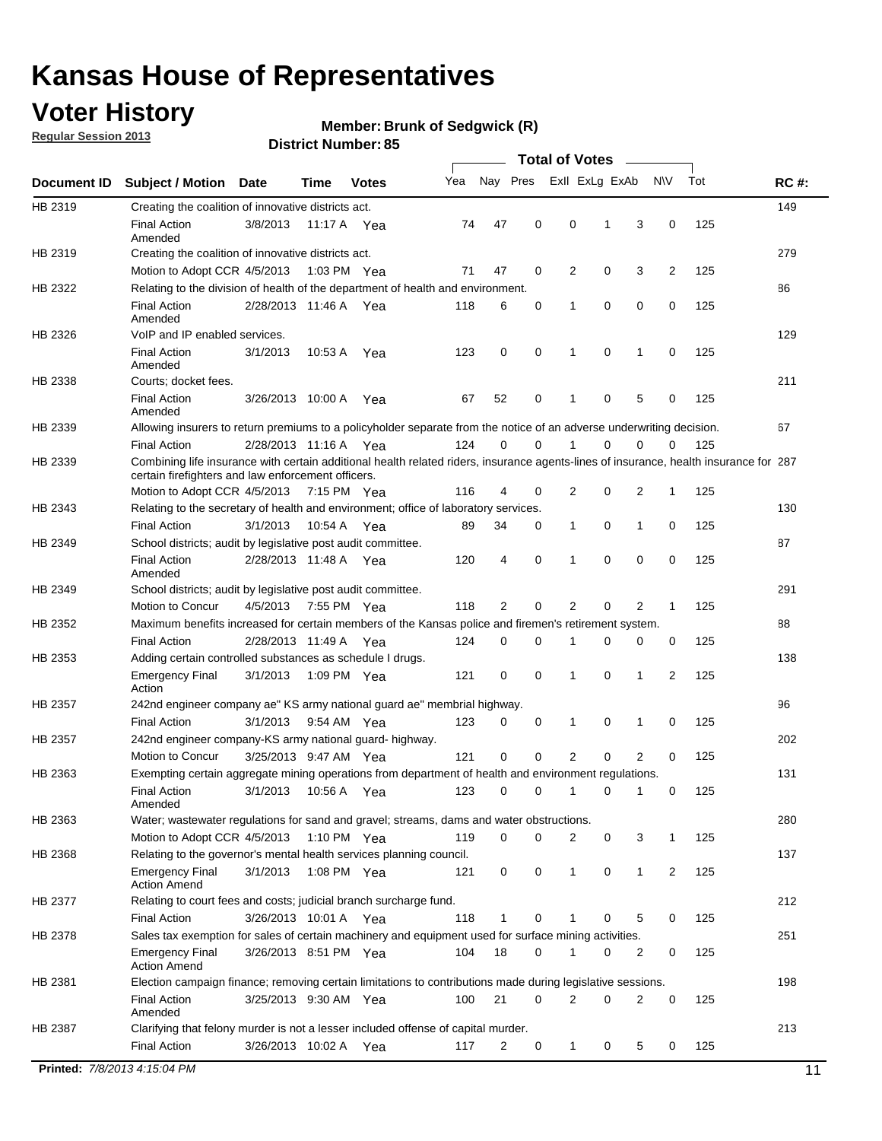## **Voter History**

**Regular Session 2013**

#### **Member: Brunk of Sedgwick (R)**

|             |                                                                                                                                                                                             |                       |             |              |     |             |             | <b>Total of Votes</b> |   |                |           |     |             |
|-------------|---------------------------------------------------------------------------------------------------------------------------------------------------------------------------------------------|-----------------------|-------------|--------------|-----|-------------|-------------|-----------------------|---|----------------|-----------|-----|-------------|
| Document ID | <b>Subject / Motion</b>                                                                                                                                                                     | Date                  | Time        | <b>Votes</b> | Yea | Nay Pres    |             | Exll ExLg ExAb        |   |                | <b>NV</b> | Tot | <b>RC#:</b> |
| HB 2319     | Creating the coalition of innovative districts act.                                                                                                                                         |                       |             |              |     |             |             |                       |   |                |           |     | 149         |
|             | <b>Final Action</b><br>Amended                                                                                                                                                              | 3/8/2013              | 11:17 A     | Yea          | 74  | 47          | 0           | 0                     | 1 | 3              | 0         | 125 |             |
| HB 2319     | Creating the coalition of innovative districts act.                                                                                                                                         |                       |             |              |     |             |             |                       |   |                |           |     | 279         |
|             | Motion to Adopt CCR 4/5/2013                                                                                                                                                                |                       | 1:03 PM Yea |              | 71  | 47          | 0           | 2                     | 0 | 3              | 2         | 125 |             |
| HB 2322     | Relating to the division of health of the department of health and environment.                                                                                                             |                       |             |              |     |             |             |                       |   |                |           |     | 86          |
|             | <b>Final Action</b><br>Amended                                                                                                                                                              | 2/28/2013 11:46 A Yea |             |              | 118 | 6           | 0           | 1                     | 0 | 0              | 0         | 125 |             |
| HB 2326     | VoIP and IP enabled services.                                                                                                                                                               |                       |             |              |     |             |             |                       |   |                |           |     | 129         |
|             | <b>Final Action</b><br>Amended                                                                                                                                                              | 3/1/2013              | 10:53 A     | Yea          | 123 | $\mathbf 0$ | 0           | $\mathbf{1}$          | 0 | 1              | 0         | 125 |             |
| HB 2338     | Courts; docket fees.                                                                                                                                                                        |                       |             |              |     |             |             |                       |   |                |           |     | 211         |
|             | <b>Final Action</b><br>Amended                                                                                                                                                              | 3/26/2013 10:00 A     |             | Yea          | 67  | 52          | 0           | 1                     | 0 | 5              | 0         | 125 |             |
| HB 2339     | Allowing insurers to return premiums to a policyholder separate from the notice of an adverse underwriting decision.                                                                        |                       |             |              |     |             |             |                       |   |                |           |     | 67          |
|             | <b>Final Action</b>                                                                                                                                                                         | 2/28/2013 11:16 A Yea |             |              | 124 | 0           | 0           |                       | 0 | 0              | 0         | 125 |             |
| HB 2339     | Combining life insurance with certain additional health related riders, insurance agents-lines of insurance, health insurance for 287<br>certain firefighters and law enforcement officers. |                       |             |              |     |             |             |                       |   |                |           |     |             |
|             | Motion to Adopt CCR 4/5/2013 7:15 PM Yea                                                                                                                                                    |                       |             |              | 116 | 4           | 0           | 2                     | 0 | 2              | -1        | 125 |             |
| HB 2343     | Relating to the secretary of health and environment; office of laboratory services.                                                                                                         |                       |             |              |     |             |             |                       |   |                |           |     | 130         |
|             | <b>Final Action</b>                                                                                                                                                                         | 3/1/2013              | 10:54 A Yea |              | 89  | 34          | 0           | 1                     | 0 | 1              | 0         | 125 |             |
| HB 2349     | School districts; audit by legislative post audit committee.                                                                                                                                |                       |             |              |     |             |             |                       |   |                |           |     | 87          |
|             | <b>Final Action</b><br>Amended                                                                                                                                                              | 2/28/2013 11:48 A Yea |             |              | 120 | 4           | $\mathbf 0$ | 1                     | 0 | 0              | 0         | 125 |             |
| HB 2349     | School districts; audit by legislative post audit committee.                                                                                                                                |                       |             |              |     |             |             |                       |   |                |           |     | 291         |
|             | Motion to Concur                                                                                                                                                                            | 4/5/2013              | 7:55 PM Yea |              | 118 | 2           | $\mathbf 0$ | 2                     | 0 | 2              | 1         | 125 |             |
| HB 2352     | Maximum benefits increased for certain members of the Kansas police and firemen's retirement system.                                                                                        |                       |             |              |     |             |             |                       |   |                |           |     | 88          |
|             | <b>Final Action</b>                                                                                                                                                                         | 2/28/2013 11:49 A     |             | Yea          | 124 | 0           | 0           | 1                     | 0 | 0              | 0         | 125 |             |
| HB 2353     | Adding certain controlled substances as schedule I drugs.                                                                                                                                   |                       |             |              |     |             |             |                       |   |                |           |     | 138         |
|             | <b>Emergency Final</b><br>Action                                                                                                                                                            | 3/1/2013              |             | 1:09 PM Yea  | 121 | 0           | 0           | 1                     | 0 | 1              | 2         | 125 |             |
| HB 2357     | 242nd engineer company ae" KS army national guard ae" membrial highway.                                                                                                                     |                       |             |              |     |             |             |                       |   |                |           |     | 96          |
|             | <b>Final Action</b>                                                                                                                                                                         | 3/1/2013              | 9:54 AM Yea |              | 123 | 0           | 0           | 1                     | 0 | 1              | 0         | 125 |             |
| HB 2357     | 242nd engineer company-KS army national guard- highway.                                                                                                                                     |                       |             |              |     |             |             |                       |   |                |           |     | 202         |
|             | Motion to Concur                                                                                                                                                                            | 3/25/2013 9:47 AM Yea |             |              | 121 | $\mathbf 0$ | $\mathbf 0$ | $\overline{2}$        | 0 | $\overline{2}$ | 0         | 125 |             |
| HB 2363     | Exempting certain aggregate mining operations from department of health and environment regulations.                                                                                        |                       |             |              |     |             |             |                       |   |                |           |     | 131         |
|             | <b>Final Action</b><br>Amended                                                                                                                                                              | 3/1/2013              | 10:56 A     | Yea          | 123 | 0           | 0           | 1                     | 0 | 1              | 0         | 125 |             |
| HB 2363     | Water; wastewater regulations for sand and gravel; streams, dams and water obstructions.                                                                                                    |                       |             |              |     |             |             |                       |   |                |           |     | 280         |
|             | Motion to Adopt CCR 4/5/2013                                                                                                                                                                |                       |             | 1:10 PM Yea  | 119 | 0           | 0           | 2                     | 0 | 3              |           | 125 |             |
| HB 2368     | Relating to the governor's mental health services planning council.                                                                                                                         |                       |             |              |     |             |             |                       |   |                |           |     | 137         |
|             | Emergency Final<br><b>Action Amend</b>                                                                                                                                                      | 3/1/2013              | 1:08 PM Yea |              | 121 | 0           | 0           | $\mathbf{1}$          | 0 | 1              | 2         | 125 |             |
| HB 2377     | Relating to court fees and costs; judicial branch surcharge fund.                                                                                                                           |                       |             |              |     |             |             |                       |   |                |           |     | 212         |
|             | <b>Final Action</b>                                                                                                                                                                         | 3/26/2013 10:01 A Yea |             |              | 118 | 1           | 0           |                       | 0 | 5              | 0         | 125 |             |
| HB 2378     | Sales tax exemption for sales of certain machinery and equipment used for surface mining activities.                                                                                        |                       |             |              |     |             |             |                       |   |                |           |     | 251         |
|             | <b>Emergency Final</b><br><b>Action Amend</b>                                                                                                                                               | 3/26/2013 8:51 PM Yea |             |              | 104 | 18          | 0           | 1                     | 0 | 2              | 0         | 125 |             |
| HB 2381     | Election campaign finance; removing certain limitations to contributions made during legislative sessions.                                                                                  |                       |             |              |     |             |             |                       |   |                |           |     | 198         |
|             | Final Action<br>Amended                                                                                                                                                                     | 3/25/2013 9:30 AM Yea |             |              | 100 | 21          | 0           | 2                     | 0 | 2              | 0         | 125 |             |
| HB 2387     | Clarifying that felony murder is not a lesser included offense of capital murder.                                                                                                           |                       |             |              |     |             |             |                       |   |                |           |     | 213         |
|             | <b>Final Action</b>                                                                                                                                                                         | 3/26/2013 10:02 A     |             | Yea          | 117 | 2           | 0           | $\mathbf{1}$          | 0 | 5              | 0         | 125 |             |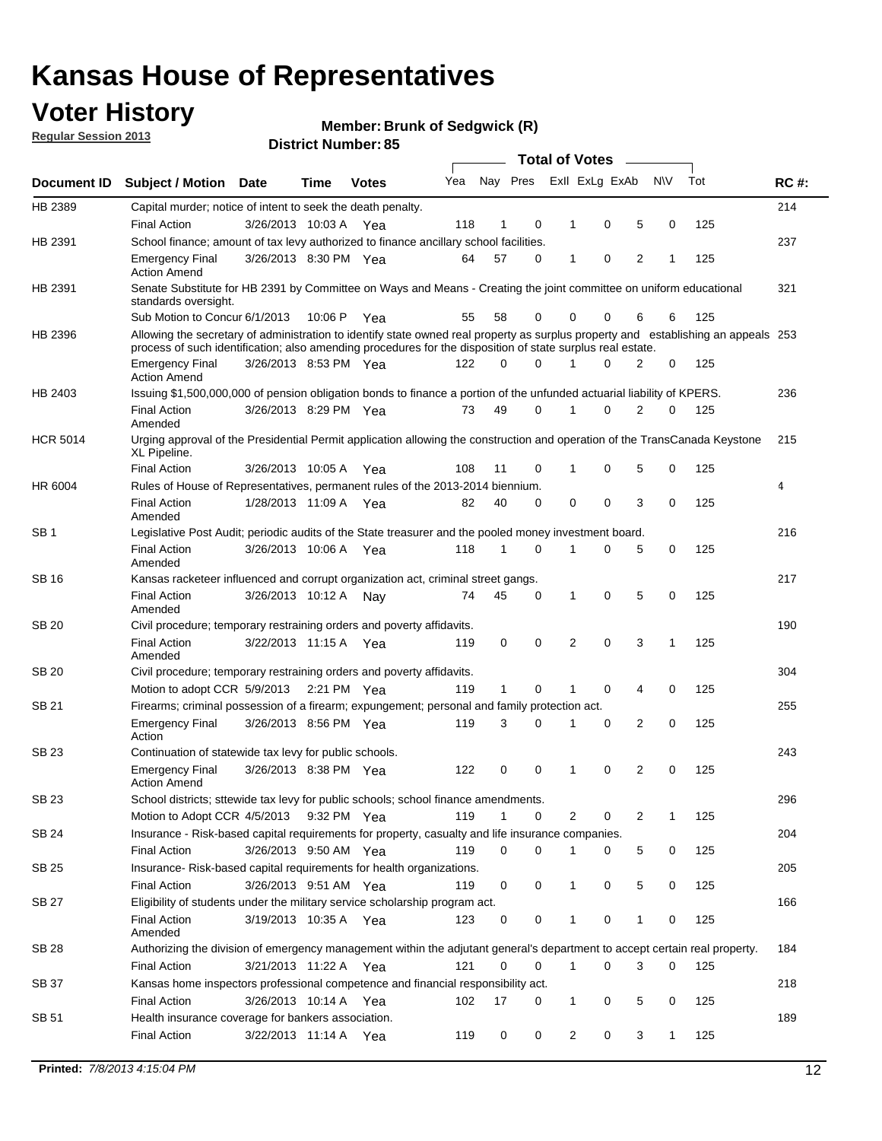## **Voter History**

**Member: Brunk of Sedgwick (R)** 

**Regular Session 2013**

|                 |                                                                                                                                                                                                                                                  |                       |         | טט הסעוווטנו ועוווטכו |     |              |             | <b>Total of Votes</b> | $\overline{\phantom{a}}$ |           |     |             |
|-----------------|--------------------------------------------------------------------------------------------------------------------------------------------------------------------------------------------------------------------------------------------------|-----------------------|---------|-----------------------|-----|--------------|-------------|-----------------------|--------------------------|-----------|-----|-------------|
| Document ID     | <b>Subject / Motion Date</b>                                                                                                                                                                                                                     |                       | Time    | <b>Votes</b>          | Yea |              | Nay Pres    | Exll ExLg ExAb        |                          | <b>NV</b> | Tot | <b>RC#:</b> |
| HB 2389         | Capital murder; notice of intent to seek the death penalty.                                                                                                                                                                                      |                       |         |                       |     |              |             |                       |                          |           |     | 214         |
|                 | <b>Final Action</b>                                                                                                                                                                                                                              | 3/26/2013 10:03 A Yea |         |                       | 118 | 1            | 0           | 0<br>1                | 5                        | 0         | 125 |             |
| HB 2391         | School finance; amount of tax levy authorized to finance ancillary school facilities.                                                                                                                                                            |                       |         |                       |     |              |             |                       |                          |           |     | 237         |
|                 | <b>Emergency Final</b><br><b>Action Amend</b>                                                                                                                                                                                                    | 3/26/2013 8:30 PM Yea |         |                       | 64  | 57           | $\Omega$    | 0<br>1                | $\overline{2}$           | 1         | 125 |             |
| HB 2391         | Senate Substitute for HB 2391 by Committee on Ways and Means - Creating the joint committee on uniform educational<br>standards oversight.                                                                                                       |                       |         |                       |     |              |             |                       |                          |           |     | 321         |
|                 | Sub Motion to Concur 6/1/2013                                                                                                                                                                                                                    |                       | 10:06 P | Yea                   | 55  | 58           | 0           | 0<br>0                | 6                        | 6         | 125 |             |
| HB 2396         | Allowing the secretary of administration to identify state owned real property as surplus property and establishing an appeals 253<br>process of such identification; also amending procedures for the disposition of state surplus real estate. |                       |         |                       |     |              |             |                       |                          |           |     |             |
|                 | <b>Emergency Final</b><br><b>Action Amend</b>                                                                                                                                                                                                    | 3/26/2013 8:53 PM Yea |         |                       | 122 | 0            | $\Omega$    | 0                     | 2                        | 0         | 125 |             |
| HB 2403         | Issuing \$1,500,000,000 of pension obligation bonds to finance a portion of the unfunded actuarial liability of KPERS.                                                                                                                           |                       |         |                       |     |              |             |                       |                          |           |     | 236         |
|                 | <b>Final Action</b><br>Amended                                                                                                                                                                                                                   | 3/26/2013 8:29 PM Yea |         |                       | 73  | 49           | 0           | 0<br>1                | 2                        | 0         | 125 |             |
| <b>HCR 5014</b> | Urging approval of the Presidential Permit application allowing the construction and operation of the TransCanada Keystone<br>XL Pipeline.                                                                                                       |                       |         |                       |     |              |             |                       |                          |           |     | 215         |
|                 | <b>Final Action</b>                                                                                                                                                                                                                              | 3/26/2013 10:05 A     |         | Yea                   | 108 | 11           | 0           | 0<br>1                | 5                        | 0         | 125 |             |
| HR 6004         | Rules of House of Representatives, permanent rules of the 2013-2014 biennium.                                                                                                                                                                    |                       |         |                       |     |              |             |                       |                          |           |     | 4           |
|                 | <b>Final Action</b><br>Amended                                                                                                                                                                                                                   | 1/28/2013 11:09 A Yea |         |                       | 82  | 40           | $\Omega$    | 0<br>0                | 3                        | 0         | 125 |             |
| SB <sub>1</sub> | Legislative Post Audit; periodic audits of the State treasurer and the pooled money investment board.                                                                                                                                            |                       |         |                       |     |              |             |                       |                          |           |     | 216         |
|                 | <b>Final Action</b><br>Amended                                                                                                                                                                                                                   | 3/26/2013 10:06 A     |         | Yea                   | 118 | 1            | $\Omega$    | 0<br>1                | 5                        | 0         | 125 |             |
| SB 16           | Kansas racketeer influenced and corrupt organization act, criminal street gangs.                                                                                                                                                                 |                       |         |                       |     |              |             |                       |                          |           |     | 217         |
|                 | <b>Final Action</b><br>Amended                                                                                                                                                                                                                   | 3/26/2013 10:12 A     |         | Nav                   | 74  | 45           | 0           | 0<br>1                | 5                        | 0         | 125 |             |
| <b>SB 20</b>    | Civil procedure; temporary restraining orders and poverty affidavits.                                                                                                                                                                            |                       |         |                       |     |              |             |                       |                          |           |     | 190         |
|                 | <b>Final Action</b><br>Amended                                                                                                                                                                                                                   | 3/22/2013 11:15 A     |         | Yea                   | 119 | 0            | 0           | 0<br>2                | 3                        | 1         | 125 |             |
| SB 20           | Civil procedure; temporary restraining orders and poverty affidavits.                                                                                                                                                                            |                       |         |                       |     |              |             |                       |                          |           |     | 304         |
|                 | Motion to adopt CCR 5/9/2013                                                                                                                                                                                                                     |                       |         | 2:21 PM Yea           | 119 | $\mathbf{1}$ | 0           | 0<br>1                | 4                        | 0         | 125 |             |
| <b>SB 21</b>    | Firearms; criminal possession of a firearm; expungement; personal and family protection act.                                                                                                                                                     |                       |         |                       |     |              |             |                       |                          |           |     | 255         |
|                 | <b>Emergency Final</b><br>Action                                                                                                                                                                                                                 | 3/26/2013 8:56 PM Yea |         |                       | 119 | 3            | $\Omega$    | 0<br>1                | 2                        | 0         | 125 |             |
| <b>SB 23</b>    | Continuation of statewide tax levy for public schools.                                                                                                                                                                                           |                       |         |                       |     |              |             |                       |                          |           |     | 243         |
|                 | <b>Emergency Final</b><br><b>Action Amend</b>                                                                                                                                                                                                    | 3/26/2013 8:38 PM Yea |         |                       | 122 | 0            | 0           | 0<br>1                | 2                        | 0         | 125 |             |
| SB 23           | School districts; sttewide tax levy for public schools; school finance amendments.                                                                                                                                                               |                       |         |                       |     |              |             |                       |                          |           |     | 296         |
|                 | Motion to Adopt CCR 4/5/2013                                                                                                                                                                                                                     |                       |         | 9:32 PM Yea           | 119 | 1            | 0           | 2<br>0                | 2                        | 1         | 125 |             |
| <b>SB 24</b>    | Insurance - Risk-based capital requirements for property, casualty and life insurance companies.                                                                                                                                                 |                       |         |                       |     |              |             |                       |                          |           |     | 204         |
|                 | Final Action                                                                                                                                                                                                                                     | 3/26/2013 9:50 AM Yea |         |                       | 119 | 0            | 0           | 0<br>1                | 5                        | 0         | 125 |             |
| <b>SB 25</b>    | Insurance-Risk-based capital requirements for health organizations.                                                                                                                                                                              |                       |         |                       |     |              |             |                       |                          |           |     | 205         |
|                 | Final Action                                                                                                                                                                                                                                     | 3/26/2013 9:51 AM Yea |         |                       | 119 | 0            | 0           | 0<br>1                | 5                        | 0         | 125 |             |
| <b>SB 27</b>    | Eligibility of students under the military service scholarship program act.                                                                                                                                                                      |                       |         |                       |     |              |             |                       |                          |           |     | 166         |
|                 | <b>Final Action</b><br>Amended                                                                                                                                                                                                                   | 3/19/2013 10:35 A Yea |         |                       | 123 | 0            | 0           | 0                     | 1                        | 0         | 125 |             |
| SB 28           | Authorizing the division of emergency management within the adjutant general's department to accept certain real property.                                                                                                                       |                       |         |                       |     |              |             |                       |                          |           |     | 184         |
|                 | <b>Final Action</b>                                                                                                                                                                                                                              | 3/21/2013 11:22 A Yea |         |                       | 121 | 0            | $\mathbf 0$ | $\mathbf{1}$<br>0     | 3                        | 0         | 125 |             |
| SB 37           | Kansas home inspectors professional competence and financial responsibility act.                                                                                                                                                                 |                       |         |                       |     |              |             |                       |                          |           |     | 218         |
|                 | <b>Final Action</b>                                                                                                                                                                                                                              | 3/26/2013 10:14 A Yea |         |                       | 102 | 17           | 0           | 1<br>0                | 5                        | 0         | 125 |             |
| SB 51           | Health insurance coverage for bankers association.                                                                                                                                                                                               |                       |         |                       |     |              |             |                       |                          |           |     | 189         |
|                 | Final Action                                                                                                                                                                                                                                     | 3/22/2013 11:14 A Yea |         |                       | 119 | 0            | 0           | 2<br>0                | 3                        | 1         | 125 |             |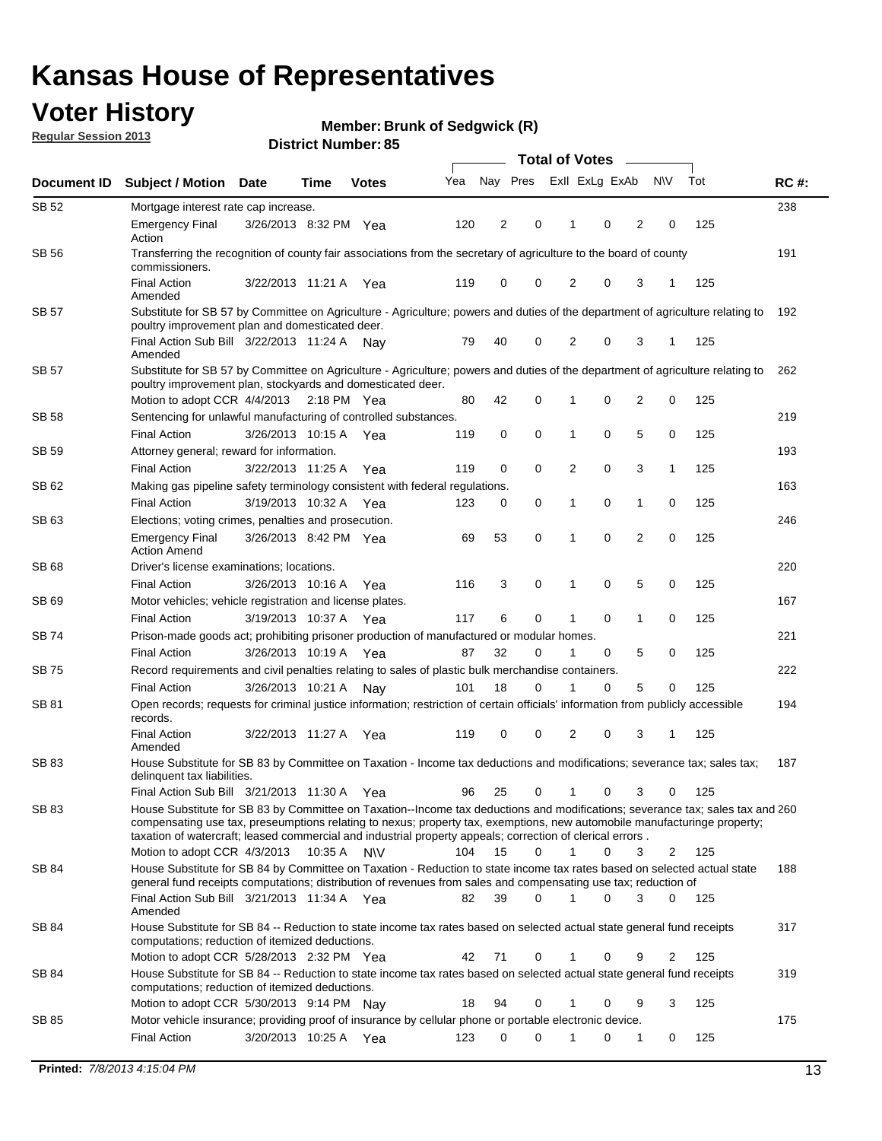## **Voter History**

**Member: Brunk of Sedgwick (R)** 

**Regular Session 2013**

|              |                                                                                                                                                                                                                                                                                                                                                                                                                     |                       |      |              |     | <b>Total of Votes</b> |          |                |             |                |                |     |             |  |
|--------------|---------------------------------------------------------------------------------------------------------------------------------------------------------------------------------------------------------------------------------------------------------------------------------------------------------------------------------------------------------------------------------------------------------------------|-----------------------|------|--------------|-----|-----------------------|----------|----------------|-------------|----------------|----------------|-----|-------------|--|
| Document ID  | <b>Subject / Motion</b>                                                                                                                                                                                                                                                                                                                                                                                             | <b>Date</b>           | Time | <b>Votes</b> | Yea | Nay Pres              |          | Exll ExLg ExAb |             |                | <b>NV</b>      | Tot | <b>RC#:</b> |  |
| SB 52        | Mortgage interest rate cap increase.                                                                                                                                                                                                                                                                                                                                                                                |                       |      |              |     |                       |          |                |             |                |                |     | 238         |  |
|              | <b>Emergency Final</b><br>Action                                                                                                                                                                                                                                                                                                                                                                                    | 3/26/2013 8:32 PM Yea |      |              | 120 | 2                     | 0        |                | 0           | 2              | 0              | 125 |             |  |
| <b>SB 56</b> | Transferring the recognition of county fair associations from the secretary of agriculture to the board of county<br>commissioners.                                                                                                                                                                                                                                                                                 |                       |      |              |     |                       |          |                |             |                |                |     | 191         |  |
|              | <b>Final Action</b><br>Amended                                                                                                                                                                                                                                                                                                                                                                                      | 3/22/2013 11:21 A     |      | Yea          | 119 | 0                     | 0        | 2              | 0           | 3              | 1              | 125 |             |  |
| SB 57        | Substitute for SB 57 by Committee on Agriculture - Agriculture; powers and duties of the department of agriculture relating to<br>poultry improvement plan and domesticated deer.                                                                                                                                                                                                                                   |                       |      |              |     |                       |          |                |             |                |                |     | 192         |  |
|              | Final Action Sub Bill 3/22/2013 11:24 A Nav<br>Amended                                                                                                                                                                                                                                                                                                                                                              |                       |      |              | 79  | 40                    | 0        | 2              | 0           | 3              | -1             | 125 |             |  |
| SB 57        | Substitute for SB 57 by Committee on Agriculture - Agriculture; powers and duties of the department of agriculture relating to<br>poultry improvement plan, stockyards and domesticated deer.<br>Motion to adopt CCR 4/4/2013 2:18 PM Yea                                                                                                                                                                           |                       |      |              | 80  | 42                    | 0        | 1              | 0           | $\overline{2}$ | 0              | 125 | 262         |  |
| SB 58        | Sentencing for unlawful manufacturing of controlled substances.                                                                                                                                                                                                                                                                                                                                                     |                       |      |              |     |                       |          |                |             |                |                |     | 219         |  |
|              | <b>Final Action</b>                                                                                                                                                                                                                                                                                                                                                                                                 | 3/26/2013 10:15 A     |      | Yea          | 119 | 0                     | 0        | 1              | 0           | 5              | 0              | 125 |             |  |
| SB 59        | Attorney general; reward for information.                                                                                                                                                                                                                                                                                                                                                                           |                       |      |              |     |                       |          |                |             |                |                |     | 193         |  |
|              | <b>Final Action</b>                                                                                                                                                                                                                                                                                                                                                                                                 | 3/22/2013 11:25 A     |      | Yea          | 119 | 0                     | 0        | 2              | 0           | 3              | 1              | 125 |             |  |
| SB 62        | Making gas pipeline safety terminology consistent with federal regulations.                                                                                                                                                                                                                                                                                                                                         |                       |      |              |     |                       |          |                |             |                |                |     | 163         |  |
|              | <b>Final Action</b>                                                                                                                                                                                                                                                                                                                                                                                                 | 3/19/2013 10:32 A Yea |      |              | 123 | 0                     | 0        | 1              | 0           | 1              | 0              | 125 |             |  |
| SB 63        | Elections; voting crimes, penalties and prosecution.                                                                                                                                                                                                                                                                                                                                                                |                       |      |              |     |                       |          |                |             |                |                |     | 246         |  |
|              | <b>Emergency Final</b><br><b>Action Amend</b>                                                                                                                                                                                                                                                                                                                                                                       | 3/26/2013 8:42 PM Yea |      |              | 69  | 53                    | 0        | 1              | $\mathbf 0$ | $\overline{2}$ | $\mathbf 0$    | 125 |             |  |
| <b>SB68</b>  | Driver's license examinations; locations.                                                                                                                                                                                                                                                                                                                                                                           |                       |      |              |     |                       |          |                |             |                |                |     | 220         |  |
|              | <b>Final Action</b>                                                                                                                                                                                                                                                                                                                                                                                                 | 3/26/2013 10:16 A     |      | Yea          | 116 | 3                     | 0        | 1              | 0           | 5              | 0              | 125 |             |  |
| SB 69        | Motor vehicles; vehicle registration and license plates.                                                                                                                                                                                                                                                                                                                                                            |                       |      |              |     |                       |          |                |             |                |                |     | 167         |  |
|              | <b>Final Action</b>                                                                                                                                                                                                                                                                                                                                                                                                 | 3/19/2013 10:37 A     |      | Yea          | 117 | 6                     | 0        | 1              | 0           | 1              | 0              | 125 |             |  |
| SB 74        | Prison-made goods act; prohibiting prisoner production of manufactured or modular homes.                                                                                                                                                                                                                                                                                                                            |                       |      |              |     |                       |          |                |             |                |                |     | 221         |  |
|              | <b>Final Action</b>                                                                                                                                                                                                                                                                                                                                                                                                 | 3/26/2013 10:19 A     |      | Yea          | 87  | 32                    | 0        | 1              | 0           | 5              | 0              | 125 |             |  |
| SB 75        | Record requirements and civil penalties relating to sales of plastic bulk merchandise containers.                                                                                                                                                                                                                                                                                                                   |                       |      |              |     |                       |          |                |             |                |                |     | 222         |  |
|              | <b>Final Action</b>                                                                                                                                                                                                                                                                                                                                                                                                 | 3/26/2013 10:21 A     |      | Nav          | 101 | 18                    | 0        | 1              | 0           | 5              | 0              | 125 |             |  |
| SB 81        | Open records; requests for criminal justice information; restriction of certain officials' information from publicly accessible<br>records.                                                                                                                                                                                                                                                                         |                       |      |              |     |                       |          |                |             |                |                |     | 194         |  |
|              | <b>Final Action</b><br>Amended                                                                                                                                                                                                                                                                                                                                                                                      | 3/22/2013 11:27 A     |      | Yea          | 119 | 0                     | 0        | 2              | 0           | 3              | 1              | 125 |             |  |
| <b>SB83</b>  | House Substitute for SB 83 by Committee on Taxation - Income tax deductions and modifications; severance tax; sales tax;<br>delinquent tax liabilities.                                                                                                                                                                                                                                                             |                       |      |              |     |                       |          |                |             |                |                |     | 187         |  |
|              | Final Action Sub Bill 3/21/2013 11:30 A Yea                                                                                                                                                                                                                                                                                                                                                                         |                       |      |              | 96  | 25                    | 0        | $\mathbf{1}$   | 0           | 3              | 0              | 125 |             |  |
| SB 83        | House Substitute for SB 83 by Committee on Taxation--Income tax deductions and modifications; severance tax; sales tax and 260<br>compensating use tax, preseumptions relating to nexus; property tax, exemptions, new automobile manufacturinge property;<br>taxation of watercraft; leased commercial and industrial property appeals; correction of clerical errors.<br>Motion to adopt CCR 4/3/2013 10:35 A N\V |                       |      |              | 104 | 15                    | 0        | $\mathbf{1}$   | 0           | 3              | 2              | 125 |             |  |
|              | House Substitute for SB 84 by Committee on Taxation - Reduction to state income tax rates based on selected actual state                                                                                                                                                                                                                                                                                            |                       |      |              |     |                       |          |                |             |                |                |     |             |  |
| SB 84        | general fund receipts computations; distribution of revenues from sales and compensating use tax; reduction of<br>Final Action Sub Bill 3/21/2013 11:34 A Yea                                                                                                                                                                                                                                                       |                       |      |              | 82  | 39                    | $\Omega$ |                | $\Omega$    | 3              | $\mathbf{0}$   | 125 | 188         |  |
| SB 84        | Amended<br>House Substitute for SB 84 -- Reduction to state income tax rates based on selected actual state general fund receipts                                                                                                                                                                                                                                                                                   |                       |      |              |     |                       |          |                |             |                |                |     | 317         |  |
|              | computations; reduction of itemized deductions.<br>Motion to adopt CCR 5/28/2013 2:32 PM Yea                                                                                                                                                                                                                                                                                                                        |                       |      |              | 42  | 71                    | 0        | 1              | 0           | 9              | $\overline{2}$ | 125 |             |  |
| SB 84        | House Substitute for SB 84 -- Reduction to state income tax rates based on selected actual state general fund receipts                                                                                                                                                                                                                                                                                              |                       |      |              |     |                       |          |                |             |                |                |     | 319         |  |
|              | computations; reduction of itemized deductions.<br>Motion to adopt CCR 5/30/2013 9:14 PM Nay                                                                                                                                                                                                                                                                                                                        |                       |      |              | 18  | 94                    | 0        | 1              | 0           | 9              | 3              | 125 |             |  |
| SB 85        | Motor vehicle insurance; providing proof of insurance by cellular phone or portable electronic device.                                                                                                                                                                                                                                                                                                              |                       |      |              |     |                       |          |                |             |                |                |     | 175         |  |
|              | <b>Final Action</b>                                                                                                                                                                                                                                                                                                                                                                                                 | 3/20/2013 10:25 A Yea |      |              | 123 | 0                     | $\Omega$ |                | 0           | 1              | 0              | 125 |             |  |
|              |                                                                                                                                                                                                                                                                                                                                                                                                                     |                       |      |              |     |                       |          |                |             |                |                |     |             |  |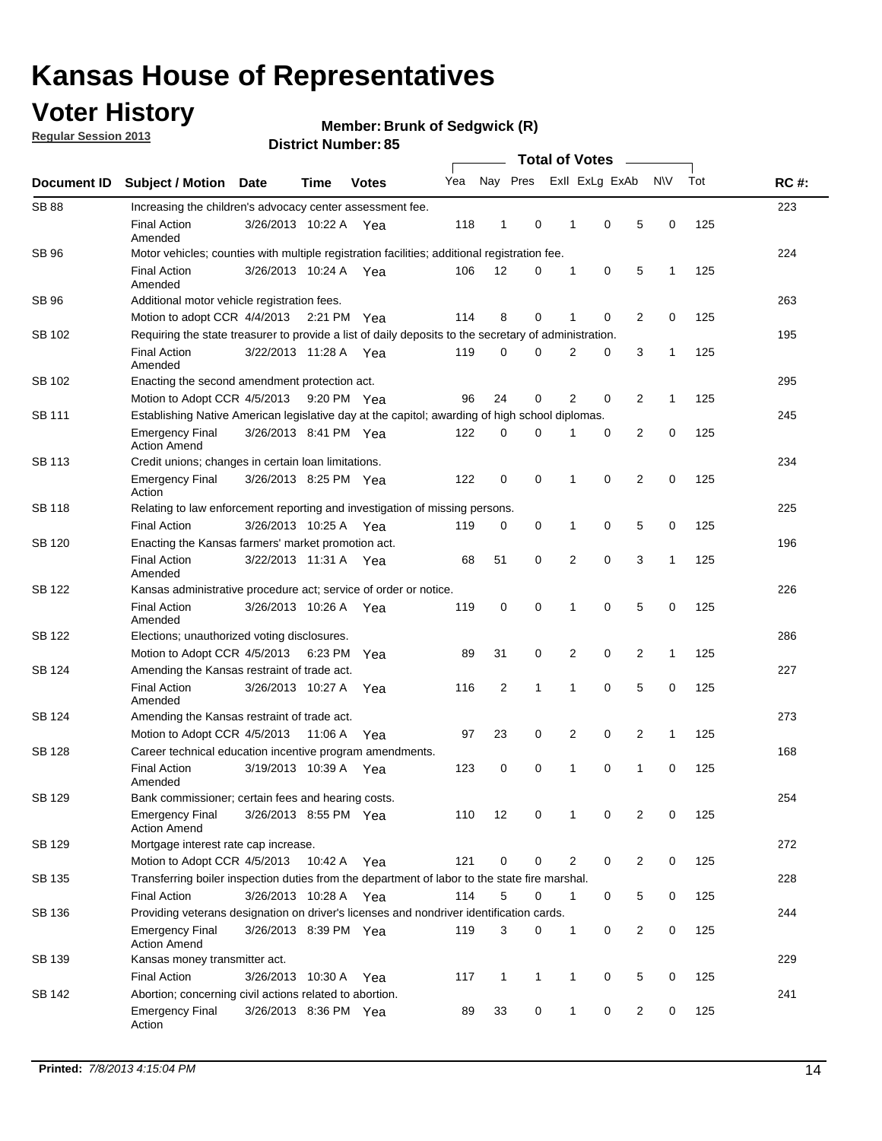## **Voter History**

**Regular Session 2013**

**Member: Brunk of Sedgwick (R)** 

|                    |                                                                                                       | טט ו וטעווואדו ועוווסוע |             |              | <b>Total of Votes</b> |              |              |  |                |                |                |              |     |             |
|--------------------|-------------------------------------------------------------------------------------------------------|-------------------------|-------------|--------------|-----------------------|--------------|--------------|--|----------------|----------------|----------------|--------------|-----|-------------|
| <b>Document ID</b> | <b>Subject / Motion</b>                                                                               | Date                    | <b>Time</b> | <b>Votes</b> | Yea                   |              | Nay Pres     |  |                | Exll ExLg ExAb |                | <b>NV</b>    | Tot | <b>RC#:</b> |
| <b>SB 88</b>       | Increasing the children's advocacy center assessment fee.                                             |                         |             |              |                       |              |              |  |                |                |                |              |     | 223         |
|                    | <b>Final Action</b><br>Amended                                                                        | 3/26/2013 10:22 A Yea   |             |              | 118                   | 1            | 0            |  | $\mathbf 1$    | 0              | 5              | 0            | 125 |             |
| SB 96              | Motor vehicles; counties with multiple registration facilities; additional registration fee.          |                         |             |              |                       |              |              |  |                |                |                |              |     | 224         |
|                    | <b>Final Action</b><br>Amended                                                                        | 3/26/2013 10:24 A       |             | Yea          | 106                   | 12           | 0            |  | 1              | 0              | 5              | 1            | 125 |             |
| SB 96              | Additional motor vehicle registration fees.                                                           |                         |             |              |                       |              |              |  |                |                |                |              |     | 263         |
|                    | Motion to adopt CCR 4/4/2013 2:21 PM Yea                                                              |                         |             |              | 114                   | 8            | 0            |  | 1              | 0              | $\overline{2}$ | 0            | 125 |             |
| SB 102             | Requiring the state treasurer to provide a list of daily deposits to the secretary of administration. |                         |             |              |                       |              |              |  |                |                |                |              |     | 195         |
|                    | <b>Final Action</b><br>Amended                                                                        | 3/22/2013 11:28 A Yea   |             |              | 119                   | 0            | 0            |  | 2              | 0              | 3              | 1            | 125 |             |
| SB 102             | Enacting the second amendment protection act.                                                         |                         |             |              |                       |              |              |  |                |                |                |              |     | 295         |
|                    | Motion to Adopt CCR 4/5/2013                                                                          |                         | 9:20 PM Yea |              | 96                    | 24           | 0            |  | 2              | 0              | 2              | 1            | 125 |             |
| SB 111             | Establishing Native American legislative day at the capitol; awarding of high school diplomas.        |                         |             |              |                       |              |              |  |                |                |                |              |     | 245         |
|                    | <b>Emergency Final</b><br><b>Action Amend</b>                                                         | 3/26/2013 8:41 PM Yea   |             |              | 122                   | 0            | $\Omega$     |  | 1              | 0              | $\overline{2}$ | 0            | 125 |             |
| SB 113             | Credit unions; changes in certain loan limitations.                                                   |                         |             |              |                       |              |              |  |                |                |                |              |     | 234         |
|                    | <b>Emergency Final</b><br>Action                                                                      | 3/26/2013 8:25 PM Yea   |             |              | 122                   | 0            | 0            |  | 1              | $\mathbf 0$    | 2              | 0            | 125 |             |
| <b>SB 118</b>      | Relating to law enforcement reporting and investigation of missing persons.                           |                         |             |              |                       |              |              |  |                |                |                |              |     | 225         |
|                    | <b>Final Action</b>                                                                                   | 3/26/2013 10:25 A Yea   |             |              | 119                   | 0            | 0            |  | 1              | $\mathbf 0$    | 5              | 0            | 125 |             |
| SB 120             | Enacting the Kansas farmers' market promotion act.                                                    |                         |             |              |                       |              |              |  |                |                |                |              |     | 196         |
|                    | <b>Final Action</b><br>Amended                                                                        | 3/22/2013 11:31 A Yea   |             |              | 68                    | 51           | 0            |  | 2              | $\mathbf 0$    | 3              | 1            | 125 |             |
| SB 122             | Kansas administrative procedure act; service of order or notice.                                      |                         |             |              |                       |              |              |  |                |                |                |              |     | 226         |
|                    | <b>Final Action</b><br>Amended                                                                        | 3/26/2013 10:26 A Yea   |             |              | 119                   | 0            | 0            |  | 1              | $\mathbf 0$    | 5              | 0            | 125 |             |
| SB 122             | Elections; unauthorized voting disclosures.                                                           |                         |             |              |                       |              |              |  |                |                |                |              |     | 286         |
|                    | Motion to Adopt CCR 4/5/2013                                                                          |                         | 6:23 PM     | Yea          | 89                    | 31           | 0            |  | 2              | 0              | 2              | $\mathbf{1}$ | 125 |             |
| SB 124             | Amending the Kansas restraint of trade act.                                                           |                         |             |              |                       |              |              |  |                |                |                |              |     | 227         |
|                    | <b>Final Action</b><br>Amended                                                                        | 3/26/2013 10:27 A       |             | Yea          | 116                   | 2            | 1            |  | 1              | $\mathbf 0$    | 5              | 0            | 125 |             |
| SB 124             | Amending the Kansas restraint of trade act.                                                           |                         |             |              |                       |              |              |  |                |                |                |              |     | 273         |
|                    | Motion to Adopt CCR 4/5/2013                                                                          |                         | 11:06 A     | Yea          | 97                    | 23           | 0            |  | 2              | 0              | $\overline{2}$ | 1            | 125 |             |
| SB 128             | Career technical education incentive program amendments.                                              |                         |             |              |                       |              |              |  |                |                |                |              |     | 168         |
|                    | <b>Final Action</b><br>Amended                                                                        | 3/19/2013 10:39 A       |             | Yea          | 123                   | 0            | 0            |  | 1              | 0              | 1              | 0            | 125 |             |
| SB 129             | Bank commissioner; certain fees and hearing costs.                                                    |                         |             |              |                       |              |              |  |                |                |                |              |     | 254         |
|                    | <b>Emergency Final</b><br><b>Action Amend</b>                                                         | 3/26/2013 8:55 PM Yea   |             |              | 110                   | 12           | 0            |  | 1              | 0              | 2              | 0            | 125 |             |
| SB 129             | Mortgage interest rate cap increase.                                                                  |                         |             |              |                       |              |              |  |                |                |                |              |     | 272         |
|                    | Motion to Adopt CCR 4/5/2013                                                                          |                         | 10:42 A Yea |              | 121                   | $\mathbf 0$  | 0            |  | $\overline{2}$ | 0              | 2              | 0            | 125 |             |
| SB 135             | Transferring boiler inspection duties from the department of labor to the state fire marshal.         |                         |             |              |                       |              |              |  |                |                |                |              |     | 228         |
|                    | Final Action                                                                                          | 3/26/2013 10:28 A Yea   |             |              | 114                   | 5            | 0            |  | $\mathbf 1$    | 0              | 5              | 0            | 125 |             |
| SB 136             | Providing veterans designation on driver's licenses and nondriver identification cards.               |                         |             |              |                       |              |              |  |                |                |                |              |     | 244         |
|                    | <b>Emergency Final</b><br><b>Action Amend</b>                                                         | 3/26/2013 8:39 PM Yea   |             |              | 119                   | 3            | 0            |  | 1              | 0              | 2              | 0            | 125 |             |
| SB 139             | Kansas money transmitter act.                                                                         |                         |             |              |                       |              |              |  |                |                |                |              |     | 229         |
|                    | <b>Final Action</b>                                                                                   | 3/26/2013 10:30 A Yea   |             |              | 117                   | $\mathbf{1}$ | $\mathbf{1}$ |  | 1              | 0              | 5              | 0            | 125 |             |
| SB 142             | Abortion; concerning civil actions related to abortion.                                               |                         |             |              |                       |              |              |  |                |                |                |              |     | 241         |
|                    | Emergency Final<br>Action                                                                             | 3/26/2013 8:36 PM Yea   |             |              | 89                    | 33           | 0            |  | $\mathbf{1}$   | 0              | $\overline{2}$ | 0            | 125 |             |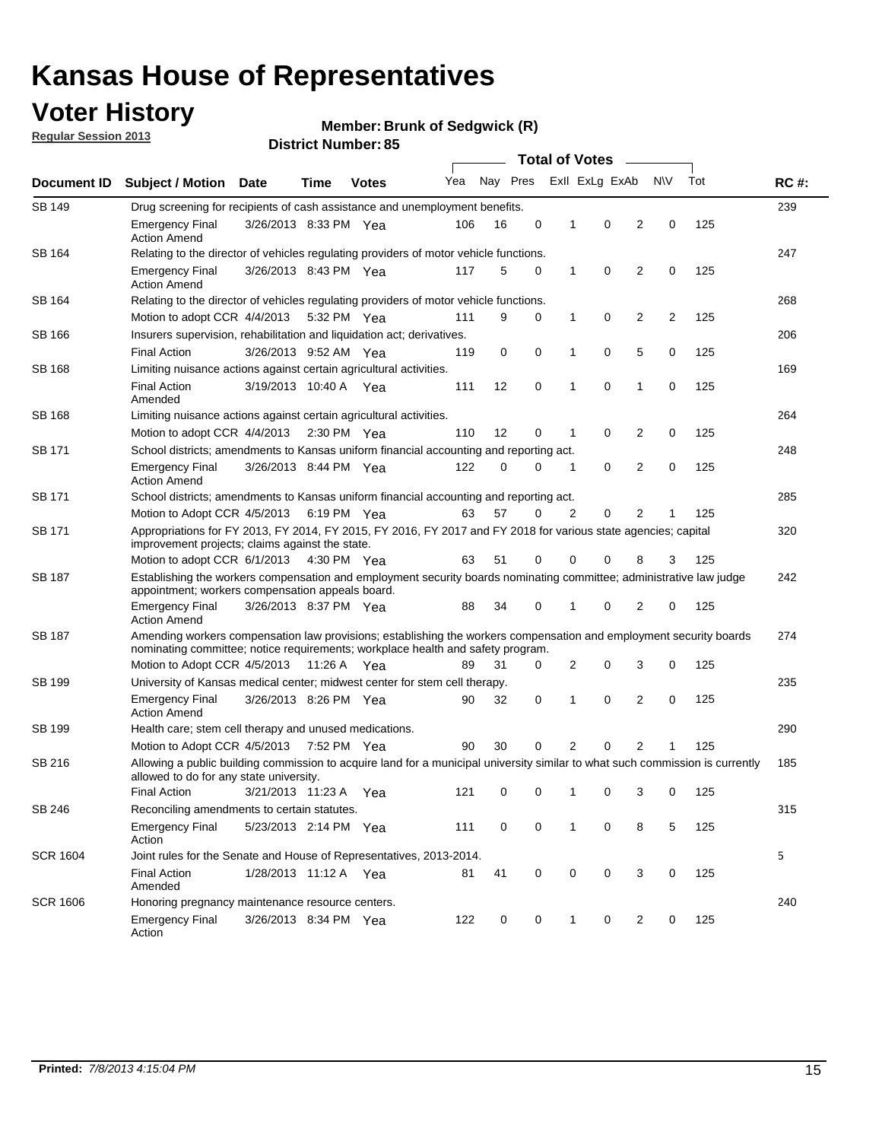## **Voter History**

**Member: Brunk of Sedgwick (R)** 

**Regular Session 2013**

| Document ID     |                                                                                                                                                                                                       |                                                                                                                                                                         |                       |              |     |          |             | <b>Total of Votes</b> |                |                |           |     |             |
|-----------------|-------------------------------------------------------------------------------------------------------------------------------------------------------------------------------------------------------|-------------------------------------------------------------------------------------------------------------------------------------------------------------------------|-----------------------|--------------|-----|----------|-------------|-----------------------|----------------|----------------|-----------|-----|-------------|
|                 | <b>Subject / Motion</b>                                                                                                                                                                               | <b>Date</b>                                                                                                                                                             | Time                  | <b>Votes</b> | Yea | Nay Pres |             |                       | Exll ExLg ExAb |                | <b>NV</b> | Tot | <b>RC#:</b> |
| SB 149          | Drug screening for recipients of cash assistance and unemployment benefits.                                                                                                                           |                                                                                                                                                                         |                       |              |     |          |             |                       |                |                |           |     | 239         |
|                 | <b>Emergency Final</b><br><b>Action Amend</b>                                                                                                                                                         | 3/26/2013 8:33 PM Yea                                                                                                                                                   |                       |              | 106 | 16       | 0           | 1                     | 0              | 2              | 0         | 125 |             |
| SB 164          | Relating to the director of vehicles regulating providers of motor vehicle functions.                                                                                                                 |                                                                                                                                                                         |                       |              |     |          |             |                       |                |                |           |     | 247         |
|                 | <b>Emergency Final</b><br><b>Action Amend</b>                                                                                                                                                         | 3/26/2013 8:43 PM Yea                                                                                                                                                   |                       |              | 117 | 5        | 0           | 1                     | 0              | 2              | 0         | 125 |             |
| SB 164          | Relating to the director of vehicles regulating providers of motor vehicle functions.                                                                                                                 |                                                                                                                                                                         |                       |              |     |          |             |                       |                |                |           |     | 268         |
|                 | Motion to adopt CCR 4/4/2013 5:32 PM Yea                                                                                                                                                              |                                                                                                                                                                         |                       |              | 111 | 9        | 0           | 1                     | 0              | 2              | 2         | 125 |             |
| SB 166          | Insurers supervision, rehabilitation and liquidation act; derivatives.                                                                                                                                |                                                                                                                                                                         |                       |              |     |          |             |                       |                |                |           |     | 206         |
|                 | <b>Final Action</b>                                                                                                                                                                                   | 3/26/2013 9:52 AM Yea                                                                                                                                                   |                       |              | 119 | 0        | $\mathbf 0$ | 1                     | 0              | 5              | 0         | 125 |             |
| SB 168          | Limiting nuisance actions against certain agricultural activities.                                                                                                                                    |                                                                                                                                                                         |                       |              |     |          |             |                       |                |                |           |     | 169         |
|                 | Final Action<br>Amended                                                                                                                                                                               | 3/19/2013 10:40 A Yea                                                                                                                                                   |                       |              | 111 | 12       | 0           | 1                     | 0              | 1              | 0         | 125 |             |
| SB 168          | Limiting nuisance actions against certain agricultural activities.                                                                                                                                    |                                                                                                                                                                         |                       |              |     |          |             |                       |                |                |           |     | 264         |
|                 | Motion to adopt CCR 4/4/2013                                                                                                                                                                          |                                                                                                                                                                         | $2:30 \text{ PM}$ Yea |              | 110 | 12       | 0           | 1                     | 0              | 2              | 0         | 125 |             |
| SB 171          | School districts; amendments to Kansas uniform financial accounting and reporting act.                                                                                                                |                                                                                                                                                                         |                       |              |     |          |             |                       |                |                |           |     | 248         |
|                 | <b>Emergency Final</b><br><b>Action Amend</b>                                                                                                                                                         | 3/26/2013 8:44 PM Yea                                                                                                                                                   |                       |              | 122 | 0        | 0           | 1                     | 0              | $\overline{2}$ | 0         | 125 |             |
| SB 171          | School districts; amendments to Kansas uniform financial accounting and reporting act.                                                                                                                |                                                                                                                                                                         |                       |              |     |          |             |                       |                |                |           |     | 285         |
|                 | Motion to Adopt CCR 4/5/2013 6:19 PM Yea                                                                                                                                                              |                                                                                                                                                                         |                       |              | 63  | 57       | 0           | 2                     | 0              | 2              |           | 125 |             |
| SB 171          | Appropriations for FY 2013, FY 2014, FY 2015, FY 2016, FY 2017 and FY 2018 for various state agencies; capital<br>improvement projects; claims against the state.                                     |                                                                                                                                                                         |                       |              |     |          |             |                       |                |                |           |     | 320         |
|                 | Motion to adopt CCR 6/1/2013 4:30 PM Yea                                                                                                                                                              |                                                                                                                                                                         |                       |              | 63  | 51       | 0           | 0                     | 0              | 8              | 3         | 125 |             |
| SB 187          |                                                                                                                                                                                                       | Establishing the workers compensation and employment security boards nominating committee; administrative law judge<br>appointment; workers compensation appeals board. |                       |              |     |          |             |                       |                |                |           |     | 242         |
|                 | <b>Emergency Final</b><br><b>Action Amend</b>                                                                                                                                                         | 3/26/2013 8:37 PM Yea                                                                                                                                                   |                       |              | 88  | 34       | 0           | 1                     | 0              | 2              | 0         | 125 |             |
| SB 187          | Amending workers compensation law provisions; establishing the workers compensation and employment security boards<br>nominating committee; notice requirements; workplace health and safety program. |                                                                                                                                                                         |                       |              |     |          |             |                       |                |                |           |     | 274         |
|                 | Motion to Adopt CCR 4/5/2013 11:26 A Yea                                                                                                                                                              |                                                                                                                                                                         |                       |              | 89  | 31       | 0           | 2                     | 0              | 3              | 0         | 125 |             |
| SB 199          | University of Kansas medical center; midwest center for stem cell therapy.                                                                                                                            |                                                                                                                                                                         |                       |              |     |          |             |                       |                |                |           |     | 235         |
|                 | <b>Emergency Final</b><br><b>Action Amend</b>                                                                                                                                                         | 3/26/2013 8:26 PM Yea                                                                                                                                                   |                       |              | 90  | 32       | 0           | 1                     | 0              | 2              | 0         | 125 |             |
| SB 199          | Health care; stem cell therapy and unused medications.                                                                                                                                                |                                                                                                                                                                         |                       |              |     |          |             |                       |                |                |           |     | 290         |
|                 | Motion to Adopt CCR 4/5/2013                                                                                                                                                                          |                                                                                                                                                                         | 7:52 PM Yea           |              | 90  | 30       | 0           | 2                     | 0              | $\overline{2}$ |           | 125 |             |
| SB 216          | Allowing a public building commission to acquire land for a municipal university similar to what such commission is currently<br>allowed to do for any state university.                              |                                                                                                                                                                         |                       |              |     |          |             |                       |                |                |           |     | 185         |
|                 | <b>Final Action</b>                                                                                                                                                                                   | 3/21/2013 11:23 A                                                                                                                                                       |                       | Yea          | 121 | 0        | 0           | 1                     | 0              | 3              | 0         | 125 |             |
| SB 246          | Reconciling amendments to certain statutes.                                                                                                                                                           |                                                                                                                                                                         |                       |              |     |          |             |                       |                |                |           |     | 315         |
|                 | <b>Emergency Final</b><br>Action                                                                                                                                                                      | 5/23/2013 2:14 PM Yea                                                                                                                                                   |                       |              | 111 | 0        | 0           | 1                     | 0              | 8              | 5         | 125 |             |
| <b>SCR 1604</b> | Joint rules for the Senate and House of Representatives, 2013-2014.                                                                                                                                   |                                                                                                                                                                         |                       |              |     |          |             |                       |                |                |           |     | 5           |
|                 | <b>Final Action</b><br>Amended                                                                                                                                                                        | 1/28/2013 11:12 A Yea                                                                                                                                                   |                       |              | 81  | 41       | 0           | 0                     | 0              | 3              | 0         | 125 |             |
| <b>SCR 1606</b> | Honoring pregnancy maintenance resource centers.                                                                                                                                                      |                                                                                                                                                                         |                       |              |     |          |             |                       |                |                |           |     | 240         |
|                 | Emergency Final<br>Action                                                                                                                                                                             | 3/26/2013 8:34 PM Yea                                                                                                                                                   |                       |              | 122 | 0        | 0           | 1                     | 0              | 2              | 0         | 125 |             |